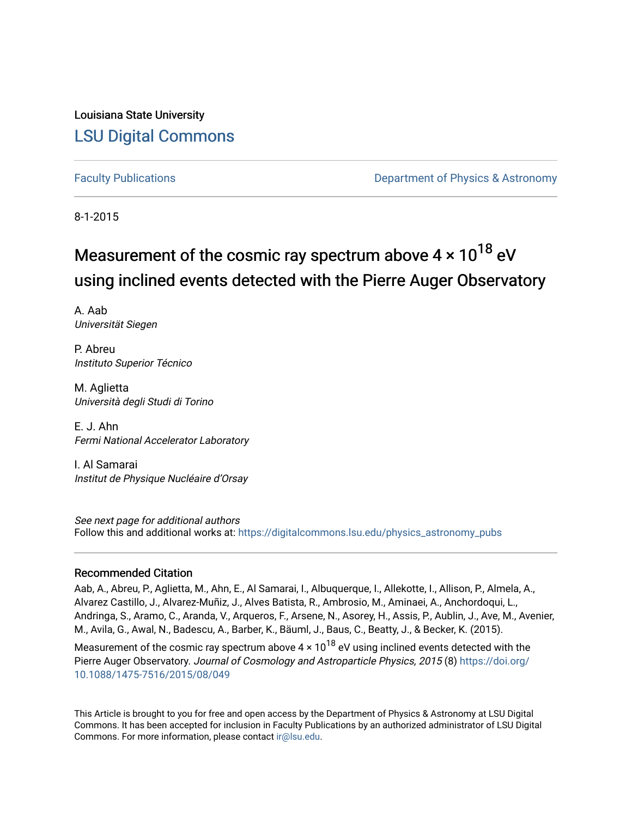Louisiana State University [LSU Digital Commons](https://digitalcommons.lsu.edu/)

[Faculty Publications](https://digitalcommons.lsu.edu/physics_astronomy_pubs) **Example 2** Constant Department of Physics & Astronomy

8-1-2015

# Measurement of the cosmic ray spectrum above  $4 \times 10^{18}$  eV using inclined events detected with the Pierre Auger Observatory

A. Aab Universität Siegen

P. Abreu Instituto Superior Técnico

M. Aglietta Università degli Studi di Torino

E. J. Ahn Fermi National Accelerator Laboratory

I. Al Samarai Institut de Physique Nucléaire d'Orsay

See next page for additional authors Follow this and additional works at: [https://digitalcommons.lsu.edu/physics\\_astronomy\\_pubs](https://digitalcommons.lsu.edu/physics_astronomy_pubs?utm_source=digitalcommons.lsu.edu%2Fphysics_astronomy_pubs%2F3235&utm_medium=PDF&utm_campaign=PDFCoverPages) 

#### Recommended Citation

Aab, A., Abreu, P., Aglietta, M., Ahn, E., Al Samarai, I., Albuquerque, I., Allekotte, I., Allison, P., Almela, A., Alvarez Castillo, J., Alvarez-Muñiz, J., Alves Batista, R., Ambrosio, M., Aminaei, A., Anchordoqui, L., Andringa, S., Aramo, C., Aranda, V., Arqueros, F., Arsene, N., Asorey, H., Assis, P., Aublin, J., Ave, M., Avenier, M., Avila, G., Awal, N., Badescu, A., Barber, K., Bäuml, J., Baus, C., Beatty, J., & Becker, K. (2015).

Measurement of the cosmic ray spectrum above  $4 \times 10^{18}$  eV using inclined events detected with the Pierre Auger Observatory. Journal of Cosmology and Astroparticle Physics, 2015 (8) [https://doi.org/](https://doi.org/10.1088/1475-7516/2015/08/049) [10.1088/1475-7516/2015/08/049](https://doi.org/10.1088/1475-7516/2015/08/049) 

This Article is brought to you for free and open access by the Department of Physics & Astronomy at LSU Digital Commons. It has been accepted for inclusion in Faculty Publications by an authorized administrator of LSU Digital Commons. For more information, please contact [ir@lsu.edu](mailto:ir@lsu.edu).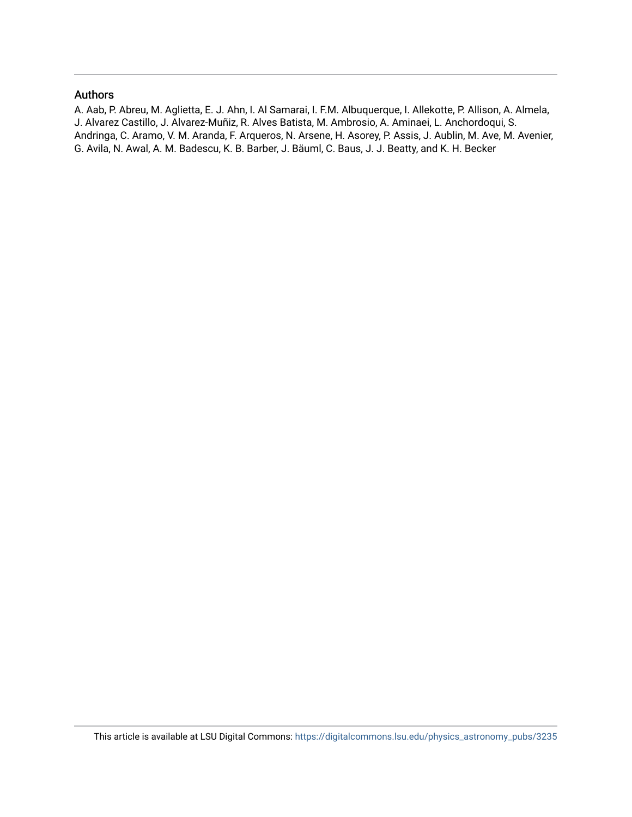#### Authors

A. Aab, P. Abreu, M. Aglietta, E. J. Ahn, I. Al Samarai, I. F.M. Albuquerque, I. Allekotte, P. Allison, A. Almela, J. Alvarez Castillo, J. Alvarez-Muñiz, R. Alves Batista, M. Ambrosio, A. Aminaei, L. Anchordoqui, S. Andringa, C. Aramo, V. M. Aranda, F. Arqueros, N. Arsene, H. Asorey, P. Assis, J. Aublin, M. Ave, M. Avenier, G. Avila, N. Awal, A. M. Badescu, K. B. Barber, J. Bäuml, C. Baus, J. J. Beatty, and K. H. Becker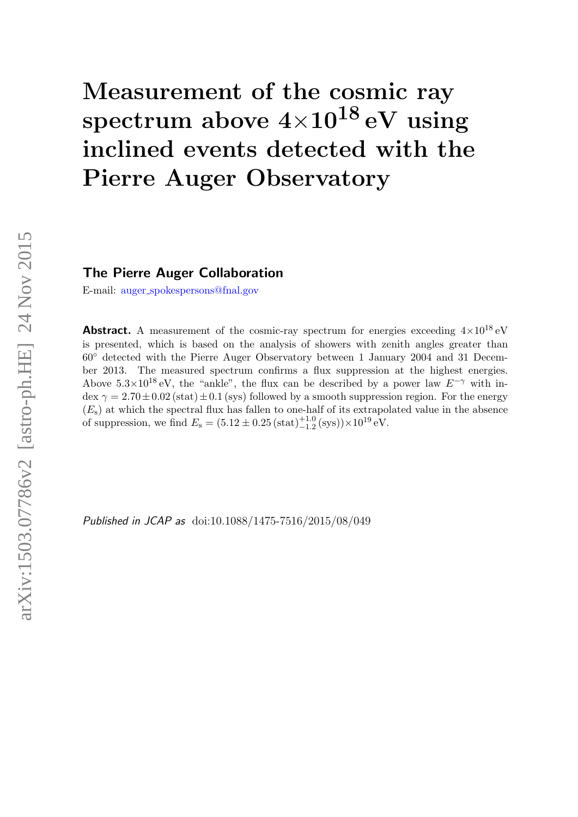# Measurement of the cosmic ray spectrum above  $4\times10^{18}$  eV using inclined events detected with the Pierre Auger Observatory

### The Pierre Auger Collaboration

E-mail: auger [spokespersons@fnal.gov](mailto:auger_spokespersons@fnal.gov)

**Abstract.** A measurement of the cosmic-ray spectrum for energies exceeding  $4 \times 10^{18}$  eV is presented, which is based on the analysis of showers with zenith angles greater than 60◦ detected with the Pierre Auger Observatory between 1 January 2004 and 31 December 2013. The measured spectrum confirms a flux suppression at the highest energies. Above  $5.3\times10^{18}$  eV, the "ankle", the flux can be described by a power law  $E^{-\gamma}$  with in- $\text{dex}\gamma = 2.70\pm0.02\,\text{(stat)}\pm0.1\,\text{(sys)}$  followed by a smooth suppression region. For the energy  $(E<sub>s</sub>)$  at which the spectral flux has fallen to one-half of its extrapolated value in the absence of suppression, we find  $E_s = (5.12 \pm 0.25 \, (\text{stat})_{-1.2}^{+1.0} \, (\text{sys})) \times 10^{19} \, \text{eV}$ .

Published in JCAP as doi:10.1088/1475-7516/2015/08/049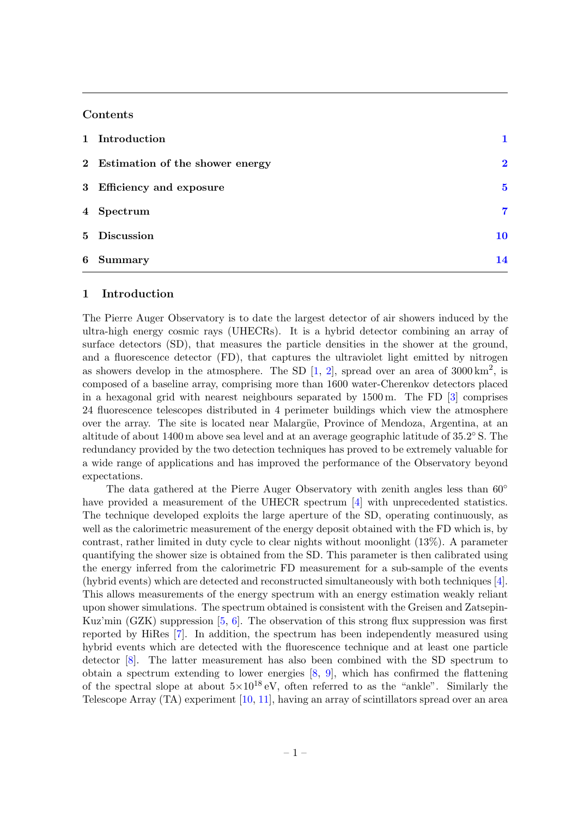#### Contents

|       | 1 Introduction                    |             |
|-------|-----------------------------------|-------------|
|       | 2 Estimation of the shower energy | $\mathbf 2$ |
|       | 3 Efficiency and exposure         | $\mathbf 5$ |
|       | 4 Spectrum                        | 7           |
|       | 5 Discussion                      | 10          |
| $6 -$ | Summary                           | 14          |

#### <span id="page-3-0"></span>1 Introduction

The Pierre Auger Observatory is to date the largest detector of air showers induced by the ultra-high energy cosmic rays (UHECRs). It is a hybrid detector combining an array of surface detectors (SD), that measures the particle densities in the shower at the ground, and a fluorescence detector (FD), that captures the ultraviolet light emitted by nitrogen as showers develop in the atmosphere. The SD  $[1, 2]$  $[1, 2]$  $[1, 2]$ , spread over an area of 3000 km<sup>2</sup>, is composed of a baseline array, comprising more than 1600 water-Cherenkov detectors placed in a hexagonal grid with nearest neighbours separated by 1500 m. The FD [\[3\]](#page-18-2) comprises 24 fluorescence telescopes distributed in 4 perimeter buildings which view the atmosphere over the array. The site is located near Malargüe, Province of Mendoza, Argentina, at an altitude of about 1400 m above sea level and at an average geographic latitude of 35.2° S. The redundancy provided by the two detection techniques has proved to be extremely valuable for a wide range of applications and has improved the performance of the Observatory beyond expectations.

The data gathered at the Pierre Auger Observatory with zenith angles less than  $60^{\circ}$ have provided a measurement of the UHECR spectrum [\[4\]](#page-18-3) with unprecedented statistics. The technique developed exploits the large aperture of the SD, operating continuously, as well as the calorimetric measurement of the energy deposit obtained with the FD which is, by contrast, rather limited in duty cycle to clear nights without moonlight (13%). A parameter quantifying the shower size is obtained from the SD. This parameter is then calibrated using the energy inferred from the calorimetric FD measurement for a sub-sample of the events (hybrid events) which are detected and reconstructed simultaneously with both techniques [\[4\]](#page-18-3). This allows measurements of the energy spectrum with an energy estimation weakly reliant upon shower simulations. The spectrum obtained is consistent with the Greisen and Zatsepin-Kuz'min (GZK) suppression  $[5, 6]$  $[5, 6]$  $[5, 6]$ . The observation of this strong flux suppression was first reported by HiRes [\[7\]](#page-18-6). In addition, the spectrum has been independently measured using hybrid events which are detected with the fluorescence technique and at least one particle detector [\[8\]](#page-18-7). The latter measurement has also been combined with the SD spectrum to obtain a spectrum extending to lower energies [\[8,](#page-18-7) [9\]](#page-18-8), which has confirmed the flattening of the spectral slope at about  $5\times10^{18}$  eV, often referred to as the "ankle". Similarly the Telescope Array (TA) experiment [\[10,](#page-18-9) [11\]](#page-18-10), having an array of scintillators spread over an area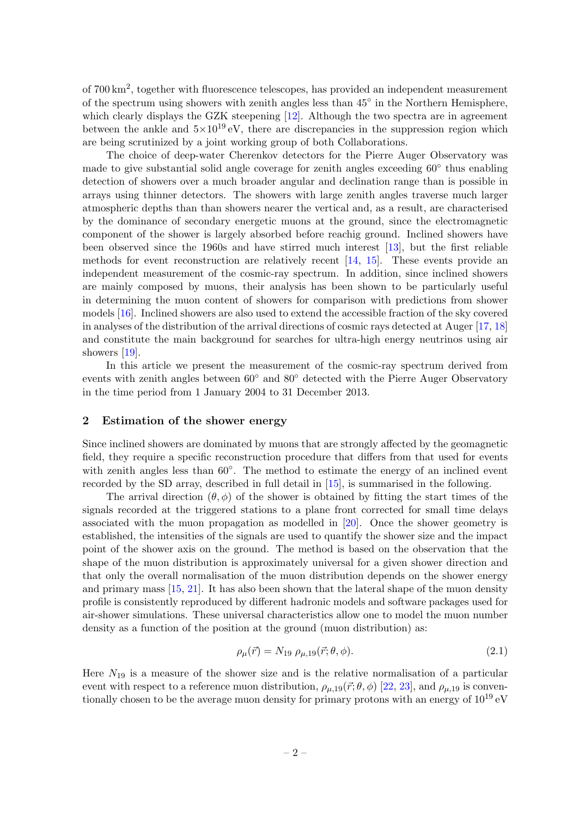of 700 km<sup>2</sup>, together with fluorescence telescopes, has provided an independent measurement of the spectrum using showers with zenith angles less than 45<sup>°</sup> in the Northern Hemisphere, which clearly displays the GZK steepening [\[12\]](#page-18-11). Although the two spectra are in agreement between the ankle and  $5\times10^{19}$  eV, there are discrepancies in the suppression region which are being scrutinized by a joint working group of both Collaborations.

The choice of deep-water Cherenkov detectors for the Pierre Auger Observatory was made to give substantial solid angle coverage for zenith angles exceeding 60<sup>°</sup> thus enabling detection of showers over a much broader angular and declination range than is possible in arrays using thinner detectors. The showers with large zenith angles traverse much larger atmospheric depths than than showers nearer the vertical and, as a result, are characterised by the dominance of secondary energetic muons at the ground, since the electromagnetic component of the shower is largely absorbed before reachig ground. Inclined showers have been observed since the 1960s and have stirred much interest [\[13\]](#page-18-12), but the first reliable methods for event reconstruction are relatively recent [\[14,](#page-18-13) [15\]](#page-18-14). These events provide an independent measurement of the cosmic-ray spectrum. In addition, since inclined showers are mainly composed by muons, their analysis has been shown to be particularly useful in determining the muon content of showers for comparison with predictions from shower models [\[16\]](#page-19-0). Inclined showers are also used to extend the accessible fraction of the sky covered in analyses of the distribution of the arrival directions of cosmic rays detected at Auger [\[17,](#page-19-1) [18\]](#page-19-2) and constitute the main background for searches for ultra-high energy neutrinos using air showers [\[19\]](#page-19-3).

In this article we present the measurement of the cosmic-ray spectrum derived from events with zenith angles between 60◦ and 80◦ detected with the Pierre Auger Observatory in the time period from 1 January 2004 to 31 December 2013.

#### <span id="page-4-0"></span>2 Estimation of the shower energy

Since inclined showers are dominated by muons that are strongly affected by the geomagnetic field, they require a specific reconstruction procedure that differs from that used for events with zenith angles less than  $60°$ . The method to estimate the energy of an inclined event recorded by the SD array, described in full detail in [\[15\]](#page-18-14), is summarised in the following.

The arrival direction  $(\theta, \phi)$  of the shower is obtained by fitting the start times of the signals recorded at the triggered stations to a plane front corrected for small time delays associated with the muon propagation as modelled in [\[20\]](#page-19-4). Once the shower geometry is established, the intensities of the signals are used to quantify the shower size and the impact point of the shower axis on the ground. The method is based on the observation that the shape of the muon distribution is approximately universal for a given shower direction and that only the overall normalisation of the muon distribution depends on the shower energy and primary mass [\[15,](#page-18-14) [21\]](#page-19-5). It has also been shown that the lateral shape of the muon density profile is consistently reproduced by different hadronic models and software packages used for air-shower simulations. These universal characteristics allow one to model the muon number density as a function of the position at the ground (muon distribution) as:

$$
\rho_{\mu}(\vec{r}) = N_{19} \; \rho_{\mu,19}(\vec{r}; \theta, \phi). \tag{2.1}
$$

Here  $N_{19}$  is a measure of the shower size and is the relative normalisation of a particular event with respect to a reference muon distribution,  $\rho_{\mu,19}(\vec{r};\theta,\phi)$  [\[22,](#page-19-6) [23\]](#page-19-7), and  $\rho_{\mu,19}$  is conventionally chosen to be the average muon density for primary protons with an energy of  $10^{19}$  eV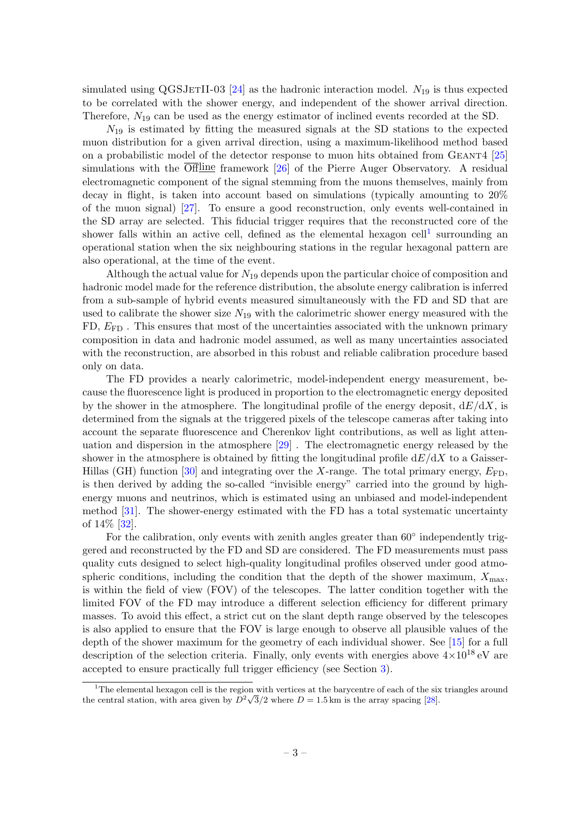simulated using  $QGSJETII-03$  [\[24\]](#page-19-8) as the hadronic interaction model.  $N_{19}$  is thus expected to be correlated with the shower energy, and independent of the shower arrival direction. Therefore,  $N_{19}$  can be used as the energy estimator of inclined events recorded at the SD.

 $N_{19}$  is estimated by fitting the measured signals at the SD stations to the expected muon distribution for a given arrival direction, using a maximum-likelihood method based on a probabilistic model of the detector response to muon hits obtained from GEANT4 [\[25\]](#page-19-9) simulations with the  $\overline{\text{Offline}}$  framework [\[26\]](#page-19-10) of the Pierre Auger Observatory. A residual electromagnetic component of the signal stemming from the muons themselves, mainly from decay in flight, is taken into account based on simulations (typically amounting to 20% of the muon signal) [\[27\]](#page-19-11). To ensure a good reconstruction, only events well-contained in the SD array are selected. This fiducial trigger requires that the reconstructed core of the shower falls within an active cell, defined as the elemental hexagon cell<sup>[1](#page-5-0)</sup> surrounding an operational station when the six neighbouring stations in the regular hexagonal pattern are also operational, at the time of the event.

Although the actual value for  $N_{19}$  depends upon the particular choice of composition and hadronic model made for the reference distribution, the absolute energy calibration is inferred from a sub-sample of hybrid events measured simultaneously with the FD and SD that are used to calibrate the shower size  $N_{19}$  with the calorimetric shower energy measured with the  $FD, E_{FD}$ . This ensures that most of the uncertainties associated with the unknown primary composition in data and hadronic model assumed, as well as many uncertainties associated with the reconstruction, are absorbed in this robust and reliable calibration procedure based only on data.

The FD provides a nearly calorimetric, model-independent energy measurement, because the fluorescence light is produced in proportion to the electromagnetic energy deposited by the shower in the atmosphere. The longitudinal profile of the energy deposit,  $dE/dX$ , is determined from the signals at the triggered pixels of the telescope cameras after taking into account the separate fluorescence and Cherenkov light contributions, as well as light attenuation and dispersion in the atmosphere [\[29\]](#page-19-12) . The electromagnetic energy released by the shower in the atmosphere is obtained by fitting the longitudinal profile  $dE/dX$  to a Gaisser-Hillas (GH) function [\[30\]](#page-19-13) and integrating over the X-range. The total primary energy,  $E_{\text{FD}}$ , is then derived by adding the so-called "invisible energy" carried into the ground by highenergy muons and neutrinos, which is estimated using an unbiased and model-independent method [\[31\]](#page-19-14). The shower-energy estimated with the FD has a total systematic uncertainty of 14% [\[32\]](#page-19-15).

For the calibration, only events with zenith angles greater than  $60^{\circ}$  independently triggered and reconstructed by the FD and SD are considered. The FD measurements must pass quality cuts designed to select high-quality longitudinal profiles observed under good atmospheric conditions, including the condition that the depth of the shower maximum,  $X_{\text{max}}$ , is within the field of view (FOV) of the telescopes. The latter condition together with the limited FOV of the FD may introduce a different selection efficiency for different primary masses. To avoid this effect, a strict cut on the slant depth range observed by the telescopes is also applied to ensure that the FOV is large enough to observe all plausible values of the depth of the shower maximum for the geometry of each individual shower. See [\[15\]](#page-18-14) for a full description of the selection criteria. Finally, only events with energies above  $4 \times 10^{18}$  eV are accepted to ensure practically full trigger efficiency (see Section [3\)](#page-7-0).

<span id="page-5-0"></span><sup>&</sup>lt;sup>1</sup>The elemental hexagon cell is the region with vertices at the barycentre of each of the six triangles around The elemental nexagon cell is the region with vertices at the barycentre of each of the six<br>the central station, with area given by  $D^2\sqrt{3}/2$  where  $D = 1.5$  km is the array spacing [\[28\]](#page-19-16).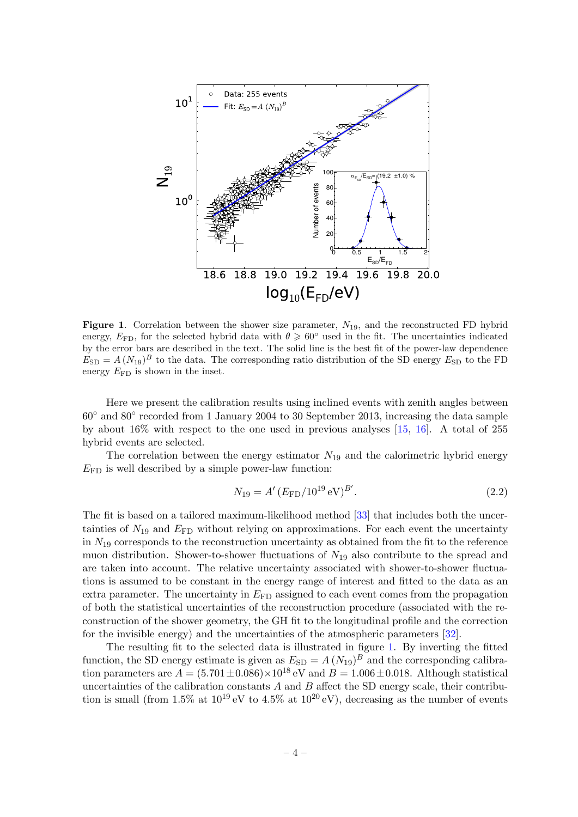

<span id="page-6-0"></span>**Figure 1.** Correlation between the shower size parameter,  $N_{19}$ , and the reconstructed FD hybrid energy,  $E_{\text{FD}}$ , for the selected hybrid data with  $\theta \geq 60^{\circ}$  used in the fit. The uncertainties indicated by the error bars are described in the text. The solid line is the best fit of the power-law dependence  $E_{SD} = A (N_{19})^B$  to the data. The corresponding ratio distribution of the SD energy  $E_{SD}$  to the FD energy  $E_{\text{FD}}$  is shown in the inset.

Here we present the calibration results using inclined events with zenith angles between 60◦ and 80◦ recorded from 1 January 2004 to 30 September 2013, increasing the data sample by about  $16\%$  with respect to the one used in previous analyses  $[15, 16]$  $[15, 16]$  $[15, 16]$ . A total of 255 hybrid events are selected.

The correlation between the energy estimator  $N_{19}$  and the calorimetric hybrid energy  $E_{\text{FD}}$  is well described by a simple power-law function:

$$
N_{19} = A' (E_{\rm FD}/10^{19} \,\text{eV})^{B'}.
$$
\n(2.2)

The fit is based on a tailored maximum-likelihood method [\[33\]](#page-20-0) that includes both the uncertainties of  $N_{19}$  and  $E_{\text{FD}}$  without relying on approximations. For each event the uncertainty in  $N_{19}$  corresponds to the reconstruction uncertainty as obtained from the fit to the reference muon distribution. Shower-to-shower fluctuations of  $N_{19}$  also contribute to the spread and are taken into account. The relative uncertainty associated with shower-to-shower fluctuations is assumed to be constant in the energy range of interest and fitted to the data as an extra parameter. The uncertainty in  $E_{FD}$  assigned to each event comes from the propagation of both the statistical uncertainties of the reconstruction procedure (associated with the reconstruction of the shower geometry, the GH fit to the longitudinal profile and the correction for the invisible energy) and the uncertainties of the atmospheric parameters [\[32\]](#page-19-15).

The resulting fit to the selected data is illustrated in figure [1.](#page-6-0) By inverting the fitted function, the SD energy estimate is given as  $E_{SD} = A (N_{19})^B$  and the corresponding calibration parameters are  $A = (5.701 \pm 0.086) \times 10^{18}$  eV and  $B = 1.006 \pm 0.018$ . Although statistical uncertainties of the calibration constants  $A$  and  $B$  affect the SD energy scale, their contribution is small (from 1.5% at  $10^{19}$  eV to 4.5% at  $10^{20}$  eV), decreasing as the number of events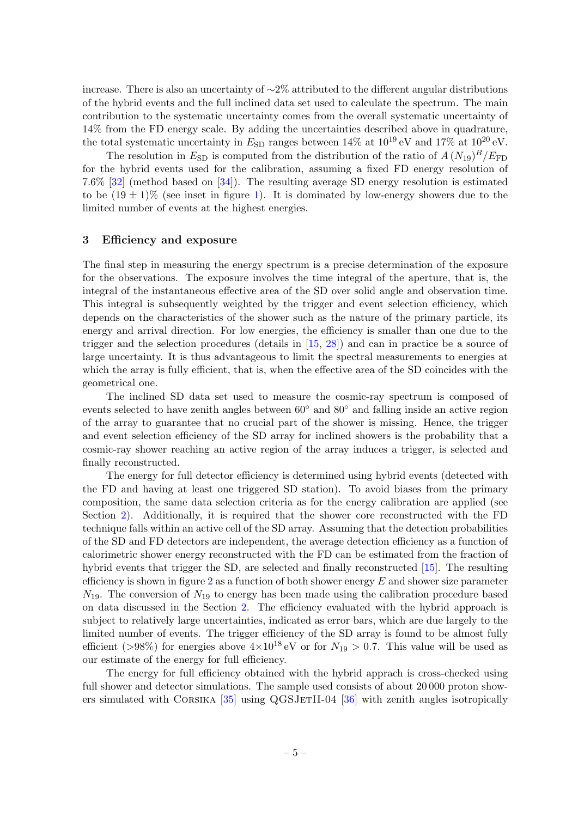increase. There is also an uncertainty of ∼2% attributed to the different angular distributions of the hybrid events and the full inclined data set used to calculate the spectrum. The main contribution to the systematic uncertainty comes from the overall systematic uncertainty of 14% from the FD energy scale. By adding the uncertainties described above in quadrature, the total systematic uncertainty in  $E_{SD}$  ranges between 14% at  $10^{19} \text{ eV}$  and 17% at  $10^{20} \text{ eV}$ .

The resolution in  $E_{\text{SD}}$  is computed from the distribution of the ratio of  $A (N_{19})^B / E_{\text{FD}}$ for the hybrid events used for the calibration, assuming a fixed FD energy resolution of 7.6% [\[32\]](#page-19-15) (method based on [\[34\]](#page-20-1)). The resulting average SD energy resolution is estimated to be  $(19 \pm 1)\%$  $(19 \pm 1)\%$  $(19 \pm 1)\%$  (see inset in figure 1). It is dominated by low-energy showers due to the limited number of events at the highest energies.

#### <span id="page-7-0"></span>3 Efficiency and exposure

The final step in measuring the energy spectrum is a precise determination of the exposure for the observations. The exposure involves the time integral of the aperture, that is, the integral of the instantaneous effective area of the SD over solid angle and observation time. This integral is subsequently weighted by the trigger and event selection efficiency, which depends on the characteristics of the shower such as the nature of the primary particle, its energy and arrival direction. For low energies, the efficiency is smaller than one due to the trigger and the selection procedures (details in [\[15,](#page-18-14) [28\]](#page-19-16)) and can in practice be a source of large uncertainty. It is thus advantageous to limit the spectral measurements to energies at which the array is fully efficient, that is, when the effective area of the SD coincides with the geometrical one.

The inclined SD data set used to measure the cosmic-ray spectrum is composed of events selected to have zenith angles between 60◦ and 80◦ and falling inside an active region of the array to guarantee that no crucial part of the shower is missing. Hence, the trigger and event selection efficiency of the SD array for inclined showers is the probability that a cosmic-ray shower reaching an active region of the array induces a trigger, is selected and finally reconstructed.

The energy for full detector efficiency is determined using hybrid events (detected with the FD and having at least one triggered SD station). To avoid biases from the primary composition, the same data selection criteria as for the energy calibration are applied (see Section [2\)](#page-4-0). Additionally, it is required that the shower core reconstructed with the FD technique falls within an active cell of the SD array. Assuming that the detection probabilities of the SD and FD detectors are independent, the average detection efficiency as a function of calorimetric shower energy reconstructed with the FD can be estimated from the fraction of hybrid events that trigger the SD, are selected and finally reconstructed [\[15\]](#page-18-14). The resulting efficiency is shown in figure  $2$  as a function of both shower energy  $E$  and shower size parameter  $N_{19}$ . The conversion of  $N_{19}$  to energy has been made using the calibration procedure based on data discussed in the Section [2.](#page-4-0) The efficiency evaluated with the hybrid approach is subject to relatively large uncertainties, indicated as error bars, which are due largely to the limited number of events. The trigger efficiency of the SD array is found to be almost fully efficient (>98%) for energies above  $4\times10^{18}$  eV or for  $N_{19} > 0.7$ . This value will be used as our estimate of the energy for full efficiency.

The energy for full efficiency obtained with the hybrid apprach is cross-checked using full shower and detector simulations. The sample used consists of about 20000 proton showers simulated with Corsika [\[35\]](#page-20-2) using QGSJetII-04 [\[36\]](#page-20-3) with zenith angles isotropically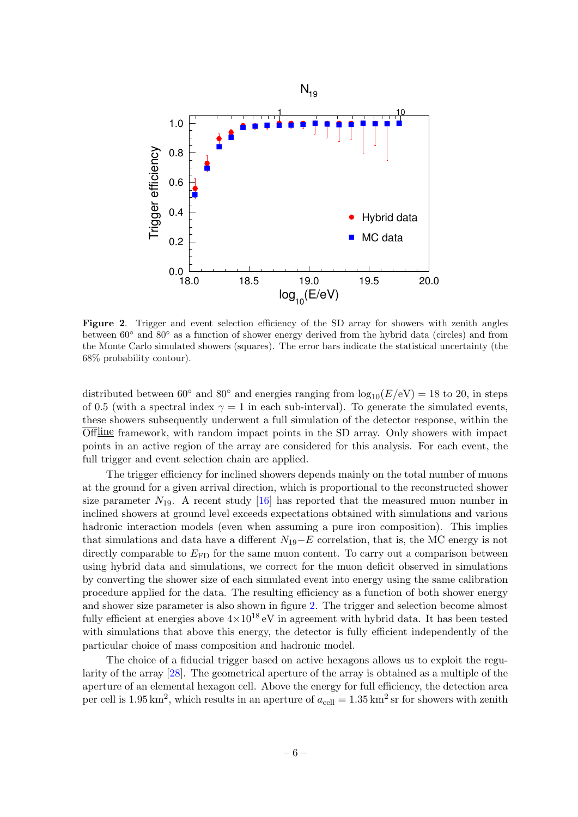

<span id="page-8-0"></span>Figure 2. Trigger and event selection efficiency of the SD array for showers with zenith angles between 60◦ and 80◦ as a function of shower energy derived from the hybrid data (circles) and from the Monte Carlo simulated showers (squares). The error bars indicate the statistical uncertainty (the 68% probability contour).

distributed between  $60°$  and  $80°$  and energies ranging from  $\log_{10}(E/\text{eV}) = 18$  to 20, in steps of 0.5 (with a spectral index  $\gamma = 1$  in each sub-interval). To generate the simulated events, these showers subsequently underwent a full simulation of the detector response, within the Offline framework, with random impact points in the SD array. Only showers with impact points in an active region of the array are considered for this analysis. For each event, the full trigger and event selection chain are applied.

The trigger efficiency for inclined showers depends mainly on the total number of muons at the ground for a given arrival direction, which is proportional to the reconstructed shower size parameter  $N_{19}$ . A recent study [\[16\]](#page-19-0) has reported that the measured muon number in inclined showers at ground level exceeds expectations obtained with simulations and various hadronic interaction models (even when assuming a pure iron composition). This implies that simulations and data have a different  $N_{19}$ −E correlation, that is, the MC energy is not directly comparable to  $E_{\text{FD}}$  for the same muon content. To carry out a comparison between using hybrid data and simulations, we correct for the muon deficit observed in simulations by converting the shower size of each simulated event into energy using the same calibration procedure applied for the data. The resulting efficiency as a function of both shower energy and shower size parameter is also shown in figure [2.](#page-8-0) The trigger and selection become almost fully efficient at energies above  $4\times10^{18}$  eV in agreement with hybrid data. It has been tested with simulations that above this energy, the detector is fully efficient independently of the particular choice of mass composition and hadronic model.

The choice of a fiducial trigger based on active hexagons allows us to exploit the regularity of the array [\[28\]](#page-19-16). The geometrical aperture of the array is obtained as a multiple of the aperture of an elemental hexagon cell. Above the energy for full efficiency, the detection area per cell is  $1.95 \text{ km}^2$ , which results in an aperture of  $a_{\text{cell}} = 1.35 \text{ km}^2 \text{ sr}$  for showers with zenith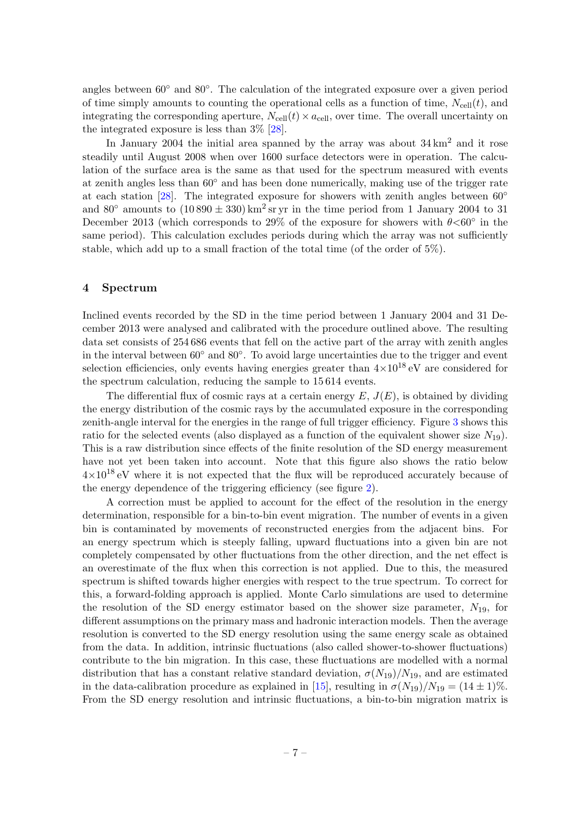angles between 60◦ and 80◦ . The calculation of the integrated exposure over a given period of time simply amounts to counting the operational cells as a function of time,  $N_{\text{cell}}(t)$ , and integrating the corresponding aperture,  $N_{cell}(t) \times a_{cell}$ , over time. The overall uncertainty on the integrated exposure is less than 3% [\[28\]](#page-19-16).

In January 2004 the initial area spanned by the array was about  $34 \text{ km}^2$  and it rose steadily until August 2008 when over 1600 surface detectors were in operation. The calculation of the surface area is the same as that used for the spectrum measured with events at zenith angles less than 60◦ and has been done numerically, making use of the trigger rate at each station [\[28\]](#page-19-16). The integrated exposure for showers with zenith angles between  $60^{\circ}$ and 80 $\textdegree$  amounts to  $(10890 \pm 330) \text{ km}^2 \text{ sr}$  yr in the time period from 1 January 2004 to 31 December 2013 (which corresponds to 29% of the exposure for showers with  $\theta$ <60° in the same period). This calculation excludes periods during which the array was not sufficiently stable, which add up to a small fraction of the total time (of the order of 5%).

#### <span id="page-9-0"></span>4 Spectrum

Inclined events recorded by the SD in the time period between 1 January 2004 and 31 December 2013 were analysed and calibrated with the procedure outlined above. The resulting data set consists of 254 686 events that fell on the active part of the array with zenith angles in the interval between 60◦ and 80◦ . To avoid large uncertainties due to the trigger and event selection efficiencies, only events having energies greater than  $4\times10^{18}$  eV are considered for the spectrum calculation, reducing the sample to 15 614 events.

The differential flux of cosmic rays at a certain energy  $E, J(E)$ , is obtained by dividing the energy distribution of the cosmic rays by the accumulated exposure in the corresponding zenith-angle interval for the energies in the range of full trigger efficiency. Figure [3](#page-10-0) shows this ratio for the selected events (also displayed as a function of the equivalent shower size  $N_{19}$ ). This is a raw distribution since effects of the finite resolution of the SD energy measurement have not yet been taken into account. Note that this figure also shows the ratio below  $4\times10^{18}$  eV where it is not expected that the flux will be reproduced accurately because of the energy dependence of the triggering efficiency (see figure [2\)](#page-8-0).

A correction must be applied to account for the effect of the resolution in the energy determination, responsible for a bin-to-bin event migration. The number of events in a given bin is contaminated by movements of reconstructed energies from the adjacent bins. For an energy spectrum which is steeply falling, upward fluctuations into a given bin are not completely compensated by other fluctuations from the other direction, and the net effect is an overestimate of the flux when this correction is not applied. Due to this, the measured spectrum is shifted towards higher energies with respect to the true spectrum. To correct for this, a forward-folding approach is applied. Monte Carlo simulations are used to determine the resolution of the SD energy estimator based on the shower size parameter,  $N_{19}$ , for different assumptions on the primary mass and hadronic interaction models. Then the average resolution is converted to the SD energy resolution using the same energy scale as obtained from the data. In addition, intrinsic fluctuations (also called shower-to-shower fluctuations) contribute to the bin migration. In this case, these fluctuations are modelled with a normal distribution that has a constant relative standard deviation,  $\sigma(N_{19})/N_{19}$ , and are estimated in the data-calibration procedure as explained in [\[15\]](#page-18-14), resulting in  $\sigma(N_{19})/N_{19} = (14 \pm 1)\%$ . From the SD energy resolution and intrinsic fluctuations, a bin-to-bin migration matrix is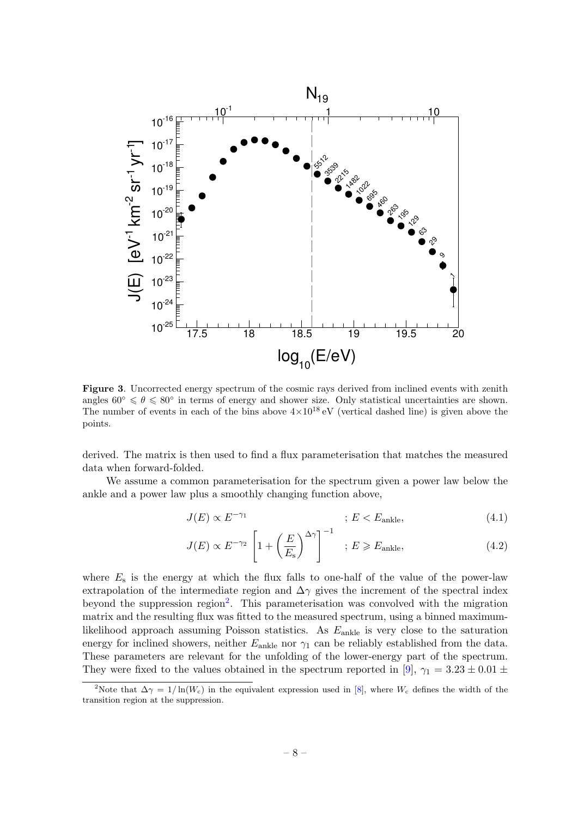

<span id="page-10-0"></span>Figure 3. Uncorrected energy spectrum of the cosmic rays derived from inclined events with zenith angles  $60^{\circ} \le \theta \le 80^{\circ}$  in terms of energy and shower size. Only statistical uncertainties are shown. The number of events in each of the bins above  $4\times10^{18}$  eV (vertical dashed line) is given above the points.

derived. The matrix is then used to find a flux parameterisation that matches the measured data when forward-folded.

We assume a common parameterisation for the spectrum given a power law below the ankle and a power law plus a smoothly changing function above,

<span id="page-10-2"></span>
$$
J(E) \propto E^{-\gamma_1} \qquad ; \ E < E_{\text{ankle}}, \tag{4.1}
$$

<span id="page-10-3"></span>
$$
J(E) \propto E^{-\gamma_2} \left[ 1 + \left(\frac{E}{E_s}\right)^{\Delta \gamma} \right]^{-1} \quad ; \ E \geqslant E_{\text{ankle}}, \tag{4.2}
$$

where  $E<sub>s</sub>$  is the energy at which the flux falls to one-half of the value of the power-law extrapolation of the intermediate region and  $\Delta\gamma$  gives the increment of the spectral index beyond the suppression region<sup>[2](#page-10-1)</sup>. This parameterisation was convolved with the migration matrix and the resulting flux was fitted to the measured spectrum, using a binned maximumlikelihood approach assuming Poisson statistics. As  $E_{\text{ankle}}$  is very close to the saturation energy for inclined showers, neither  $E_{\text{ankle}}$  nor  $\gamma_1$  can be reliably established from the data. These parameters are relevant for the unfolding of the lower-energy part of the spectrum. They were fixed to the values obtained in the spectrum reported in [\[9\]](#page-18-8),  $\gamma_1 = 3.23 \pm 0.01 \pm 0.01$ 

<span id="page-10-1"></span><sup>&</sup>lt;sup>2</sup>Note that  $\Delta \gamma = 1/\ln(W_c)$  in the equivalent expression used in [\[8\]](#page-18-7), where  $W_c$  defines the width of the transition region at the suppression.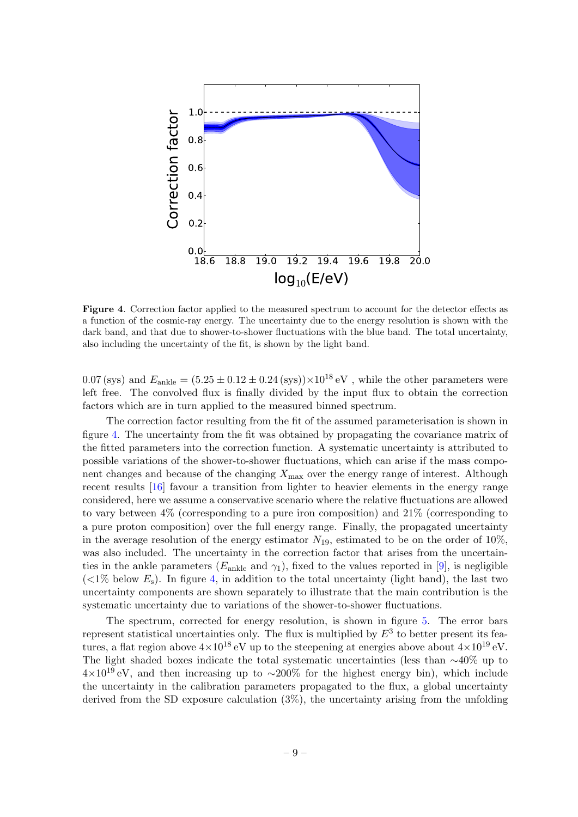

<span id="page-11-0"></span>Figure 4. Correction factor applied to the measured spectrum to account for the detector effects as a function of the cosmic-ray energy. The uncertainty due to the energy resolution is shown with the dark band, and that due to shower-to-shower fluctuations with the blue band. The total uncertainty, also including the uncertainty of the fit, is shown by the light band.

0.07 (sys) and  $E_{\text{ankle}} = (5.25 \pm 0.12 \pm 0.24 \text{ (sys)}) \times 10^{18} \text{ eV}$ , while the other parameters were left free. The convolved flux is finally divided by the input flux to obtain the correction factors which are in turn applied to the measured binned spectrum.

The correction factor resulting from the fit of the assumed parameterisation is shown in figure [4.](#page-11-0) The uncertainty from the fit was obtained by propagating the covariance matrix of the fitted parameters into the correction function. A systematic uncertainty is attributed to possible variations of the shower-to-shower fluctuations, which can arise if the mass component changes and because of the changing  $X_{\text{max}}$  over the energy range of interest. Although recent results [\[16\]](#page-19-0) favour a transition from lighter to heavier elements in the energy range considered, here we assume a conservative scenario where the relative fluctuations are allowed to vary between 4% (corresponding to a pure iron composition) and 21% (corresponding to a pure proton composition) over the full energy range. Finally, the propagated uncertainty in the average resolution of the energy estimator  $N_{19}$ , estimated to be on the order of 10%, was also included. The uncertainty in the correction factor that arises from the uncertainties in the ankle parameters  $(E_{\text{ankle}})$  and  $\gamma_1$ , fixed to the values reported in [\[9\]](#page-18-8), is negligible  $(<1\%$  below  $E_s$ ). In figure [4,](#page-11-0) in addition to the total uncertainty (light band), the last two uncertainty components are shown separately to illustrate that the main contribution is the systematic uncertainty due to variations of the shower-to-shower fluctuations.

The spectrum, corrected for energy resolution, is shown in figure [5.](#page-12-1) The error bars represent statistical uncertainties only. The flux is multiplied by  $E^3$  to better present its features, a flat region above  $4 \times 10^{18}$  eV up to the steepening at energies above about  $4 \times 10^{19}$  eV. The light shaded boxes indicate the total systematic uncertainties (less than  $\sim$ 40% up to  $4\times10^{19}$  eV, and then increasing up to ~200% for the highest energy bin), which include the uncertainty in the calibration parameters propagated to the flux, a global uncertainty derived from the SD exposure calculation (3%), the uncertainty arising from the unfolding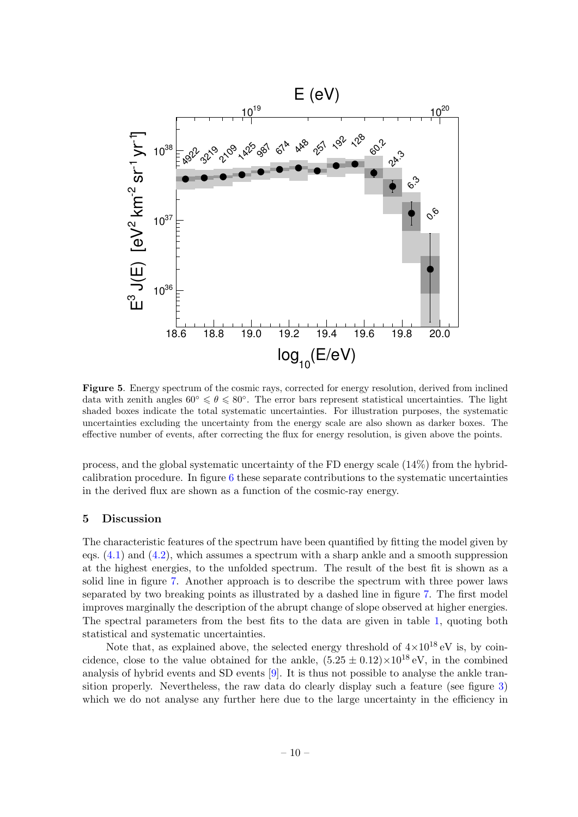

<span id="page-12-1"></span>Figure 5. Energy spectrum of the cosmic rays, corrected for energy resolution, derived from inclined data with zenith angles  $60° \le \theta \le 80°$ . The error bars represent statistical uncertainties. The light shaded boxes indicate the total systematic uncertainties. For illustration purposes, the systematic uncertainties excluding the uncertainty from the energy scale are also shown as darker boxes. The effective number of events, after correcting the flux for energy resolution, is given above the points.

process, and the global systematic uncertainty of the FD energy scale (14%) from the hybridcalibration procedure. In figure [6](#page-13-0) these separate contributions to the systematic uncertainties in the derived flux are shown as a function of the cosmic-ray energy.

#### <span id="page-12-0"></span>5 Discussion

The characteristic features of the spectrum have been quantified by fitting the model given by eqs.  $(4.1)$  and  $(4.2)$ , which assumes a spectrum with a sharp ankle and a smooth suppression at the highest energies, to the unfolded spectrum. The result of the best fit is shown as a solid line in figure [7.](#page-14-0) Another approach is to describe the spectrum with three power laws separated by two breaking points as illustrated by a dashed line in figure [7.](#page-14-0) The first model improves marginally the description of the abrupt change of slope observed at higher energies. The spectral parameters from the best fits to the data are given in table [1,](#page-13-1) quoting both statistical and systematic uncertainties.

Note that, as explained above, the selected energy threshold of  $4\times10^{18}$  eV is, by coincidence, close to the value obtained for the ankle,  $(5.25 \pm 0.12) \times 10^{18}$  eV, in the combined analysis of hybrid events and SD events [\[9\]](#page-18-8). It is thus not possible to analyse the ankle transition properly. Nevertheless, the raw data do clearly display such a feature (see figure [3\)](#page-10-0) which we do not analyse any further here due to the large uncertainty in the efficiency in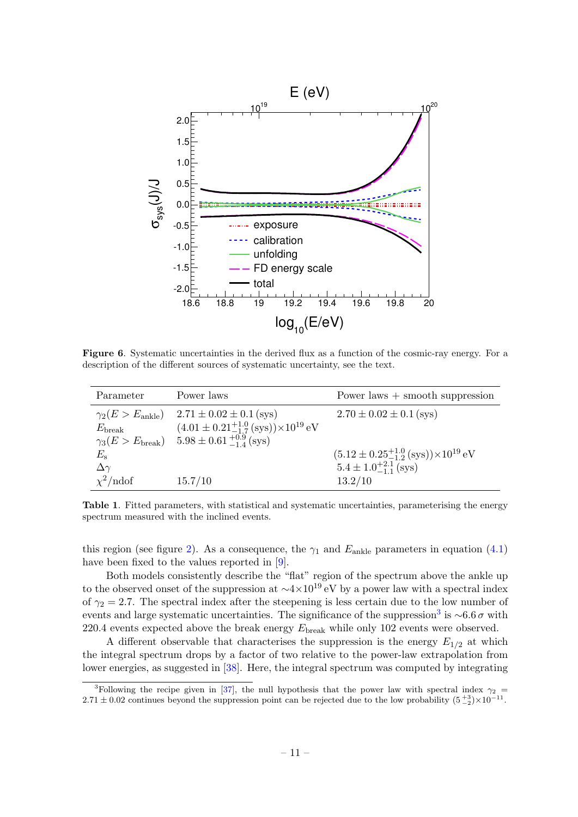

<span id="page-13-0"></span>Figure 6. Systematic uncertainties in the derived flux as a function of the cosmic-ray energy. For a description of the different sources of systematic uncertainty, see the text.

| Parameter            | Power laws                                                              | Power laws $+$ smooth suppression                                       |
|----------------------|-------------------------------------------------------------------------|-------------------------------------------------------------------------|
|                      | $\gamma_2(E > E_{\text{ankle}})$ 2.71 $\pm$ 0.02 $\pm$ 0.1 (sys)        | $2.70 \pm 0.02 \pm 0.1$ (sys)                                           |
| $E_{\rm break}$      | $(4.01 \pm 0.21^{+1.0}_{-1.7} \text{ (sys)}) \times 10^{19} \text{ eV}$ |                                                                         |
|                      | $\gamma_3(E > E_{\text{break}})$ 5.98 ± 0.61 $^{+0.9}_{-1.4}$ (sys)     |                                                                         |
| $E_{\rm s}$          |                                                                         | $(5.12 \pm 0.25^{+1.0}_{-1.2} \text{ (sys)}) \times 10^{19} \text{ eV}$ |
| $\Delta\gamma$       |                                                                         | $5.4 \pm 1.0^{+2.1}_{-1.1}$ (sys)                                       |
| $\chi^2/\text{ndof}$ | 15.7/10                                                                 | 13.2/10                                                                 |

<span id="page-13-1"></span>Table 1. Fitted parameters, with statistical and systematic uncertainties, parameterising the energy spectrum measured with the inclined events.

this region (see figure [2\)](#page-8-0). As a consequence, the  $\gamma_1$  and  $E_{ankle}$  parameters in equation [\(4.1\)](#page-10-2) have been fixed to the values reported in [\[9\]](#page-18-8).

Both models consistently describe the "flat" region of the spectrum above the ankle up to the observed onset of the suppression at  $\sim$ 4×10<sup>19</sup> eV by a power law with a spectral index of  $\gamma_2 = 2.7$ . The spectral index after the steepening is less certain due to the low number of events and large systematic uncertainties. The significance of the suppression<sup>[3](#page-13-2)</sup> is  $\sim 6.6 \sigma$  with 220.4 events expected above the break energy  $E_{\text{break}}$  while only 102 events were observed.

A different observable that characterises the suppression is the energy  $E_{1/2}$  at which the integral spectrum drops by a factor of two relative to the power-law extrapolation from lower energies, as suggested in [\[38\]](#page-20-4). Here, the integral spectrum was computed by integrating

<span id="page-13-2"></span><sup>&</sup>lt;sup>3</sup>Following the recipe given in [\[37\]](#page-20-5), the null hypothesis that the power law with spectral index  $\gamma_2$  $2.71 \pm 0.02$  continues beyond the suppression point can be rejected due to the low probability  $(5\frac{+3}{2}) \times 10^{-11}$ .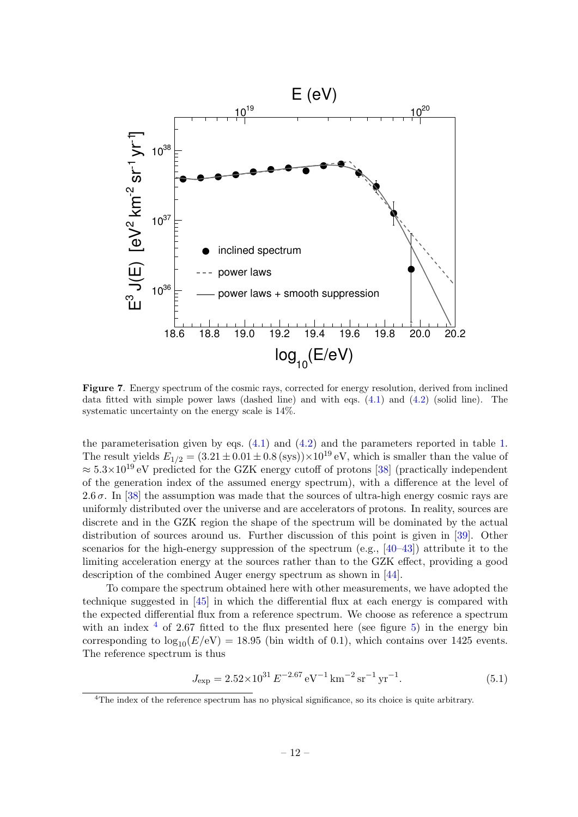

<span id="page-14-0"></span>Figure 7. Energy spectrum of the cosmic rays, corrected for energy resolution, derived from inclined data fitted with simple power laws (dashed line) and with eqs. [\(4.1\)](#page-10-2) and [\(4.2\)](#page-10-3) (solid line). The systematic uncertainty on the energy scale is 14%.

the parameterisation given by eqs.  $(4.1)$  and  $(4.2)$  and the parameters reported in table [1.](#page-13-1) The result yields  $E_{1/2} = (3.21 \pm 0.01 \pm 0.8 \text{ (sys)}) \times 10^{19} \text{ eV}$ , which is smaller than the value of  $\approx 5.3 \times 10^{19}$  eV predicted for the GZK energy cutoff of protons [\[38\]](#page-20-4) (practically independent of the generation index of the assumed energy spectrum), with a difference at the level of 2.6  $\sigma$ . In [\[38\]](#page-20-4) the assumption was made that the sources of ultra-high energy cosmic rays are uniformly distributed over the universe and are accelerators of protons. In reality, sources are discrete and in the GZK region the shape of the spectrum will be dominated by the actual distribution of sources around us. Further discussion of this point is given in [\[39\]](#page-20-6). Other scenarios for the high-energy suppression of the spectrum (e.g.,  $[40-43]$  $[40-43]$ ) attribute it to the limiting acceleration energy at the sources rather than to the GZK effect, providing a good description of the combined Auger energy spectrum as shown in [\[44\]](#page-20-9).

To compare the spectrum obtained here with other measurements, we have adopted the technique suggested in [\[45\]](#page-20-10) in which the differential flux at each energy is compared with the expected differential flux from a reference spectrum. We choose as reference a spectrum with an index  $4$  of 2.67 fitted to the flux presented here (see figure [5\)](#page-12-1) in the energy bin corresponding to  $\log_{10}(E/\text{eV}) = 18.95$  (bin width of 0.1), which contains over 1425 events. The reference spectrum is thus

$$
J_{\rm exp} = 2.52 \times 10^{31} E^{-2.67} eV^{-1} \,\rm km^{-2} \, sr^{-1} \, yr^{-1}.
$$

<span id="page-14-1"></span><sup>&</sup>lt;sup>4</sup>The index of the reference spectrum has no physical significance, so its choice is quite arbitrary.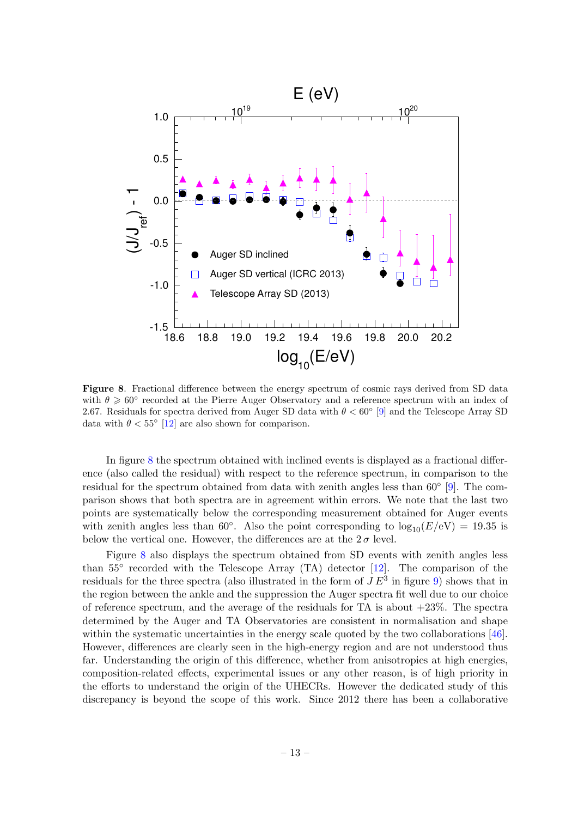

<span id="page-15-0"></span>Figure 8. Fractional difference between the energy spectrum of cosmic rays derived from SD data with  $\theta \ge 60^{\circ}$  recorded at the Pierre Auger Observatory and a reference spectrum with an index of 2.67. Residuals for spectra derived from Auger SD data with  $\theta < 60^{\circ}$  [\[9\]](#page-18-8) and the Telescope Array SD data with  $\theta < 55^{\circ}$  [\[12\]](#page-18-11) are also shown for comparison.

In figure [8](#page-15-0) the spectrum obtained with inclined events is displayed as a fractional difference (also called the residual) with respect to the reference spectrum, in comparison to the residual for the spectrum obtained from data with zenith angles less than 60<sup>°</sup> [\[9\]](#page-18-8). The comparison shows that both spectra are in agreement within errors. We note that the last two points are systematically below the corresponding measurement obtained for Auger events with zenith angles less than 60°. Also the point corresponding to  $\log_{10}(E/\text{eV}) = 19.35$  is below the vertical one. However, the differences are at the  $2\sigma$  level.

Figure [8](#page-15-0) also displays the spectrum obtained from SD events with zenith angles less than 55<sup>°</sup> recorded with the Telescope Array (TA) detector [\[12\]](#page-18-11). The comparison of the residuals for the three spectra (also illustrated in the form of  $JE^3$  in figure [9\)](#page-16-1) shows that in the region between the ankle and the suppression the Auger spectra fit well due to our choice of reference spectrum, and the average of the residuals for TA is about  $+23\%$ . The spectra determined by the Auger and TA Observatories are consistent in normalisation and shape within the systematic uncertainties in the energy scale quoted by the two collaborations [\[46\]](#page-20-11). However, differences are clearly seen in the high-energy region and are not understood thus far. Understanding the origin of this difference, whether from anisotropies at high energies, composition-related effects, experimental issues or any other reason, is of high priority in the efforts to understand the origin of the UHECRs. However the dedicated study of this discrepancy is beyond the scope of this work. Since 2012 there has been a collaborative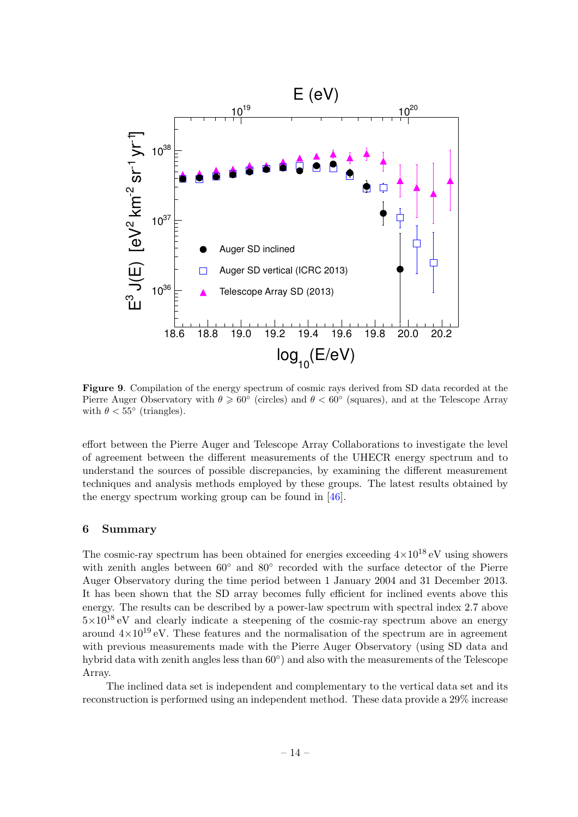

<span id="page-16-1"></span>Figure 9. Compilation of the energy spectrum of cosmic rays derived from SD data recorded at the Pierre Auger Observatory with  $\theta \ge 60^{\circ}$  (circles) and  $\theta < 60^{\circ}$  (squares), and at the Telescope Array with  $\theta < 55^{\circ}$  (triangles).

effort between the Pierre Auger and Telescope Array Collaborations to investigate the level of agreement between the different measurements of the UHECR energy spectrum and to understand the sources of possible discrepancies, by examining the different measurement techniques and analysis methods employed by these groups. The latest results obtained by the energy spectrum working group can be found in [\[46\]](#page-20-11).

#### <span id="page-16-0"></span>6 Summary

The cosmic-ray spectrum has been obtained for energies exceeding  $4\times10^{18}$  eV using showers with zenith angles between  $60°$  and  $80°$  recorded with the surface detector of the Pierre Auger Observatory during the time period between 1 January 2004 and 31 December 2013. It has been shown that the SD array becomes fully efficient for inclined events above this energy. The results can be described by a power-law spectrum with spectral index 2.7 above  $5\times10^{18}$  eV and clearly indicate a steepening of the cosmic-ray spectrum above an energy around  $4\times10^{19}$  eV. These features and the normalisation of the spectrum are in agreement with previous measurements made with the Pierre Auger Observatory (using SD data and hybrid data with zenith angles less than  $60^{\circ}$ ) and also with the measurements of the Telescope Array.

The inclined data set is independent and complementary to the vertical data set and its reconstruction is performed using an independent method. These data provide a 29% increase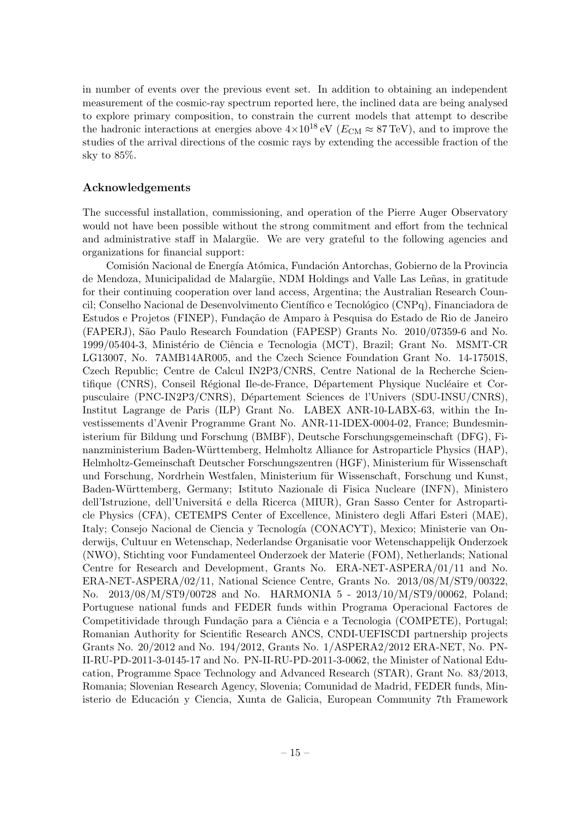in number of events over the previous event set. In addition to obtaining an independent measurement of the cosmic-ray spectrum reported here, the inclined data are being analysed to explore primary composition, to constrain the current models that attempt to describe the hadronic interactions at energies above  $4\times10^{18}$  eV ( $E_{CM} \approx 87$  TeV), and to improve the studies of the arrival directions of the cosmic rays by extending the accessible fraction of the sky to 85%.

#### Acknowledgements

The successful installation, commissioning, and operation of the Pierre Auger Observatory would not have been possible without the strong commitment and effort from the technical and administrative staff in Malargüe. We are very grateful to the following agencies and organizations for financial support:

Comisión Nacional de Energía Atómica, Fundación Antorchas, Gobierno de la Provincia de Mendoza, Municipalidad de Malargüe, NDM Holdings and Valle Las Leñas, in gratitude for their continuing cooperation over land access, Argentina; the Australian Research Council; Conselho Nacional de Desenvolvimento Científico e Tecnológico (CNPq), Financiadora de Estudos e Projetos (FINEP), Fundação de Amparo à Pesquisa do Estado de Rio de Janeiro (FAPERJ), S˜ao Paulo Research Foundation (FAPESP) Grants No. 2010/07359-6 and No. 1999/05404-3, Ministério de Ciência e Tecnologia (MCT), Brazil; Grant No. MSMT-CR LG13007, No. 7AMB14AR005, and the Czech Science Foundation Grant No. 14-17501S, Czech Republic; Centre de Calcul IN2P3/CNRS, Centre National de la Recherche Scientifique (CNRS), Conseil Régional Ile-de-France, Département Physique Nucléaire et Corpusculaire (PNC-IN2P3/CNRS), Département Sciences de l'Univers (SDU-INSU/CNRS), Institut Lagrange de Paris (ILP) Grant No. LABEX ANR-10-LABX-63, within the Investissements d'Avenir Programme Grant No. ANR-11-IDEX-0004-02, France; Bundesministerium für Bildung und Forschung (BMBF), Deutsche Forschungsgemeinschaft (DFG), Finanzministerium Baden-Württemberg, Helmholtz Alliance for Astroparticle Physics (HAP), Helmholtz-Gemeinschaft Deutscher Forschungszentren (HGF), Ministerium für Wissenschaft und Forschung, Nordrhein Westfalen, Ministerium für Wissenschaft, Forschung und Kunst, Baden-W¨urttemberg, Germany; Istituto Nazionale di Fisica Nucleare (INFN), Ministero dell'Istruzione, dell'Universitá e della Ricerca (MIUR), Gran Sasso Center for Astroparticle Physics (CFA), CETEMPS Center of Excellence, Ministero degli Affari Esteri (MAE), Italy; Consejo Nacional de Ciencia y Tecnología (CONACYT), Mexico; Ministerie van Onderwijs, Cultuur en Wetenschap, Nederlandse Organisatie voor Wetenschappelijk Onderzoek (NWO), Stichting voor Fundamenteel Onderzoek der Materie (FOM), Netherlands; National Centre for Research and Development, Grants No. ERA-NET-ASPERA/01/11 and No. ERA-NET-ASPERA/02/11, National Science Centre, Grants No. 2013/08/M/ST9/00322, No. 2013/08/M/ST9/00728 and No. HARMONIA 5 - 2013/10/M/ST9/00062, Poland; Portuguese national funds and FEDER funds within Programa Operacional Factores de Competitividade through Fundação para a Ciência e a Tecnologia (COMPETE), Portugal; Romanian Authority for Scientific Research ANCS, CNDI-UEFISCDI partnership projects Grants No. 20/2012 and No. 194/2012, Grants No. 1/ASPERA2/2012 ERA-NET, No. PN-II-RU-PD-2011-3-0145-17 and No. PN-II-RU-PD-2011-3-0062, the Minister of National Education, Programme Space Technology and Advanced Research (STAR), Grant No. 83/2013, Romania; Slovenian Research Agency, Slovenia; Comunidad de Madrid, FEDER funds, Ministerio de Educación y Ciencia, Xunta de Galicia, European Community 7th Framework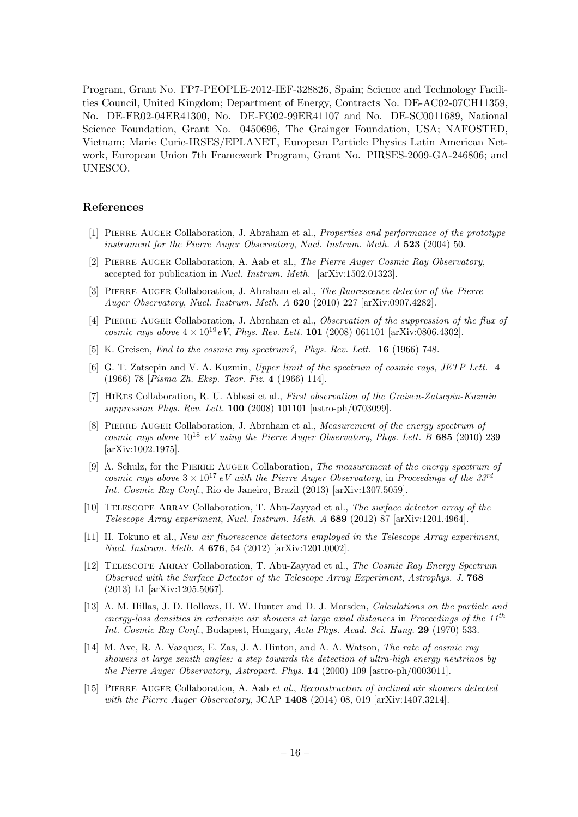Program, Grant No. FP7-PEOPLE-2012-IEF-328826, Spain; Science and Technology Facilities Council, United Kingdom; Department of Energy, Contracts No. DE-AC02-07CH11359, No. DE-FR02-04ER41300, No. DE-FG02-99ER41107 and No. DE-SC0011689, National Science Foundation, Grant No. 0450696, The Grainger Foundation, USA; NAFOSTED, Vietnam; Marie Curie-IRSES/EPLANET, European Particle Physics Latin American Network, European Union 7th Framework Program, Grant No. PIRSES-2009-GA-246806; and UNESCO.

#### References

- <span id="page-18-0"></span>[1] Pierre Auger Collaboration, J. Abraham et al., Properties and performance of the prototype instrument for the Pierre Auger Observatory, Nucl. Instrum. Meth. A 523 (2004) 50.
- <span id="page-18-1"></span>[2] Pierre Auger Collaboration, A. Aab et al., The Pierre Auger Cosmic Ray Observatory, accepted for publication in Nucl. Instrum. Meth. [arXiv:1502.01323].
- <span id="page-18-2"></span>[3] Pierre Auger Collaboration, J. Abraham et al., The fluorescence detector of the Pierre Auger Observatory, Nucl. Instrum. Meth. A 620 (2010) 227 [arXiv:0907.4282].
- <span id="page-18-3"></span>[4] PIERRE AUGER Collaboration, J. Abraham et al., Observation of the suppression of the flux of cosmic rays above  $4 \times 10^{19} eV$ , Phys. Rev. Lett. **101** (2008) 061101 [arXiv:0806.4302].
- <span id="page-18-4"></span>[5] K. Greisen, *End to the cosmic ray spectrum?*, *Phys. Rev. Lett.* **16** (1966) 748.
- <span id="page-18-5"></span>[6] G. T. Zatsepin and V. A. Kuzmin, Upper limit of the spectrum of cosmic rays, JETP Lett. 4 (1966) 78 [Pisma Zh. Eksp. Teor. Fiz. 4 (1966) 114].
- <span id="page-18-6"></span>[7] HiRes Collaboration, R. U. Abbasi et al., First observation of the Greisen-Zatsepin-Kuzmin suppression Phys. Rev. Lett. 100 (2008) 101101 [astro-ph/0703099].
- <span id="page-18-7"></span>[8] PIERRE AUGER Collaboration, J. Abraham et al., *Measurement of the energy spectrum of* cosmic rays above  $10^{18}$  eV using the Pierre Auger Observatory, Phys. Lett. B 685 (2010) 239 [arXiv:1002.1975].
- <span id="page-18-8"></span>[9] A. Schulz, for the Pierre Auger Collaboration, The measurement of the energy spectrum of cosmic rays above  $3 \times 10^{17}$  eV with the Pierre Auger Observatory, in Proceedings of the 33<sup>rd</sup> Int. Cosmic Ray Conf., Rio de Janeiro, Brazil (2013) [arXiv:1307.5059].
- <span id="page-18-9"></span>[10] Telescope Array Collaboration, T. Abu-Zayyad et al., The surface detector array of the Telescope Array experiment, Nucl. Instrum. Meth. A 689 (2012) 87 [arXiv:1201.4964].
- <span id="page-18-10"></span>[11] H. Tokuno et al., New air fluorescence detectors employed in the Telescope Array experiment, Nucl. Instrum. Meth. A 676, 54 (2012) [arXiv:1201.0002].
- <span id="page-18-11"></span>[12] Telescope Array Collaboration, T. Abu-Zayyad et al., The Cosmic Ray Energy Spectrum Observed with the Surface Detector of the Telescope Array Experiment, Astrophys. J. 768 (2013) L1 [arXiv:1205.5067].
- <span id="page-18-12"></span>[13] A. M. Hillas, J. D. Hollows, H. W. Hunter and D. J. Marsden, Calculations on the particle and energy-loss densities in extensive air showers at large axial distances in Proceedings of the  $11<sup>th</sup>$ Int. Cosmic Ray Conf., Budapest, Hungary, Acta Phys. Acad. Sci. Hung. 29 (1970) 533.
- <span id="page-18-13"></span>[14] M. Ave, R. A. Vazquez, E. Zas, J. A. Hinton, and A. A. Watson, The rate of cosmic ray showers at large zenith angles: a step towards the detection of ultra-high energy neutrinos by the Pierre Auger Observatory, Astropart. Phys. 14 (2000) 109 [astro-ph/0003011].
- <span id="page-18-14"></span>[15] Pierre Auger Collaboration, A. Aab et al., Reconstruction of inclined air showers detected with the Pierre Auger Observatory, JCAP 1408 (2014) 08, 019 [arXiv:1407.3214].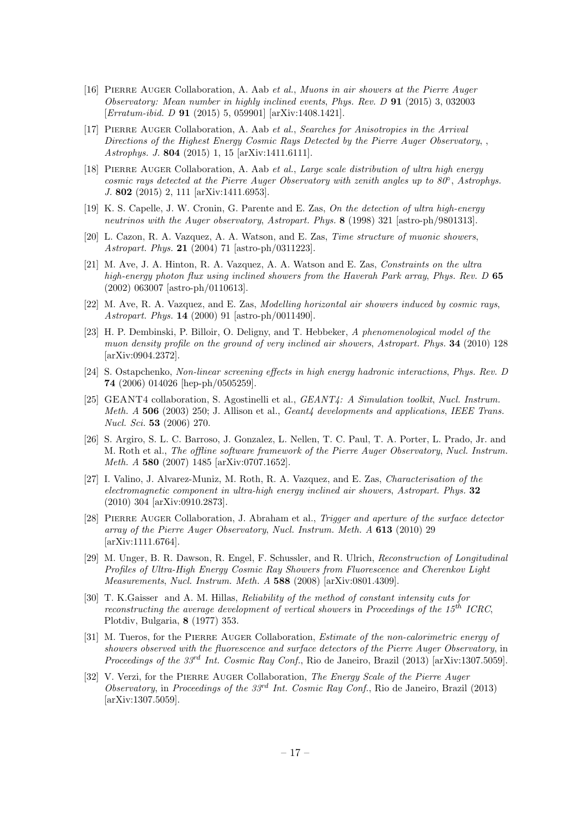- <span id="page-19-0"></span>[16] Pierre Auger Collaboration, A. Aab et al., Muons in air showers at the Pierre Auger Observatory: Mean number in highly inclined events, Phys. Rev. D 91 (2015) 3, 032003 [Erratum-ibid. D 91 (2015) 5, 059901] [arXiv:1408.1421].
- <span id="page-19-1"></span>[17] Pierre Auger Collaboration, A. Aab et al., Searches for Anisotropies in the Arrival Directions of the Highest Energy Cosmic Rays Detected by the Pierre Auger Observatory, Astrophys. J. 804 (2015) 1, 15 [arXiv:1411.6111].
- <span id="page-19-2"></span>[18] PIERRE AUGER Collaboration, A. Aab et al., Large scale distribution of ultra high energy cosmic rays detected at the Pierre Auger Observatory with zenith angles up to 80°, Astrophys. J. 802 (2015) 2, 111 [arXiv:1411.6953].
- <span id="page-19-3"></span>[19] K. S. Capelle, J. W. Cronin, G. Parente and E. Zas, On the detection of ultra high-energy neutrinos with the Auger observatory, Astropart. Phys. 8 (1998) 321 [astro-ph/9801313].
- <span id="page-19-4"></span>[20] L. Cazon, R. A. Vazquez, A. A. Watson, and E. Zas, Time structure of muonic showers, Astropart. Phys. 21 (2004) 71 [astro-ph/0311223].
- <span id="page-19-5"></span>[21] M. Ave, J. A. Hinton, R. A. Vazquez, A. A. Watson and E. Zas, Constraints on the ultra high-energy photon flux using inclined showers from the Haverah Park array, Phys. Rev. D 65 (2002) 063007 [astro-ph/0110613].
- <span id="page-19-6"></span>[22] M. Ave, R. A. Vazquez, and E. Zas, Modelling horizontal air showers induced by cosmic rays, Astropart. Phys. 14 (2000) 91 [astro-ph/0011490].
- <span id="page-19-7"></span>[23] H. P. Dembinski, P. Billoir, O. Deligny, and T. Hebbeker, A phenomenological model of the muon density profile on the ground of very inclined air showers, Astropart. Phys. **34** (2010) 128 [arXiv:0904.2372].
- <span id="page-19-8"></span>[24] S. Ostapchenko, Non-linear screening effects in high energy hadronic interactions, Phys. Rev. D 74 (2006) 014026 [hep-ph/0505259].
- <span id="page-19-9"></span>[25] GEANT4 collaboration, S. Agostinelli et al., GEANT4: A Simulation toolkit, Nucl. Instrum. Meth.  $A$  506 (2003) 250; J. Allison et al.,  $Geant\4$  developments and applications, IEEE Trans. Nucl. Sci. 53 (2006) 270.
- <span id="page-19-10"></span>[26] S. Argiro, S. L. C. Barroso, J. Gonzalez, L. Nellen, T. C. Paul, T. A. Porter, L. Prado, Jr. and M. Roth et al., The offline software framework of the Pierre Auger Observatory, Nucl. Instrum. Meth. A 580 (2007) 1485 [arXiv:0707.1652].
- <span id="page-19-11"></span>[27] I. Valino, J. Alvarez-Muniz, M. Roth, R. A. Vazquez, and E. Zas, Characterisation of the electromagnetic component in ultra-high energy inclined air showers, Astropart. Phys. 32 (2010) 304 [arXiv:0910.2873].
- <span id="page-19-16"></span>[28] Pierre Auger Collaboration, J. Abraham et al., Trigger and aperture of the surface detector array of the Pierre Auger Observatory, Nucl. Instrum. Meth. A 613 (2010) 29 [arXiv:1111.6764].
- <span id="page-19-12"></span>[29] M. Unger, B. R. Dawson, R. Engel, F. Schussler, and R. Ulrich, Reconstruction of Longitudinal Profiles of Ultra-High Energy Cosmic Ray Showers from Fluorescence and Cherenkov Light Measurements, Nucl. Instrum. Meth. A 588 (2008) [arXiv:0801.4309].
- <span id="page-19-13"></span>[30] T. K.Gaisser and A. M. Hillas, Reliability of the method of constant intensity cuts for reconstructing the average development of vertical showers in Proceedings of the  $15<sup>th</sup> ICRC$ , Plotdiv, Bulgaria, 8 (1977) 353.
- <span id="page-19-14"></span>[31] M. Tueros, for the PIERRE AUGER Collaboration, *Estimate of the non-calorimetric energy of* showers observed with the fluorescence and surface detectors of the Pierre Auger Observatory, in Proceedings of the 33<sup>rd</sup> Int. Cosmic Ray Conf., Rio de Janeiro, Brazil (2013) [arXiv:1307.5059].
- <span id="page-19-15"></span>[32] V. Verzi, for the PIERRE AUGER Collaboration, The Energy Scale of the Pierre Auger Observatory, in Proceedings of the  $33<sup>rd</sup>$  Int. Cosmic Ray Conf., Rio de Janeiro, Brazil (2013) [arXiv:1307.5059].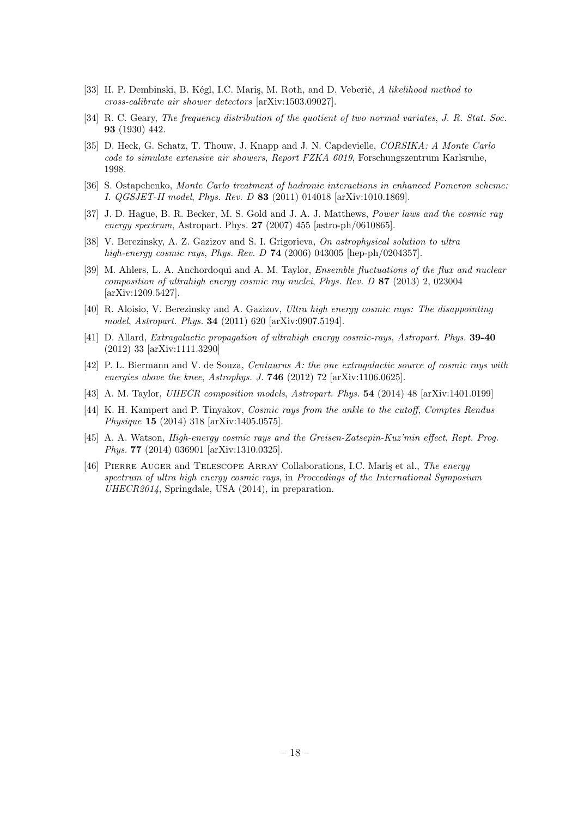- <span id="page-20-0"></span>[33] H. P. Dembinski, B. Kégl, I.C. Mariş, M. Roth, and D. Veberič, A likelihood method to cross-calibrate air shower detectors [arXiv:1503.09027].
- <span id="page-20-1"></span>[34] R. C. Geary, The frequency distribution of the quotient of two normal variates, J. R. Stat. Soc. 93 (1930) 442.
- <span id="page-20-2"></span>[35] D. Heck, G. Schatz, T. Thouw, J. Knapp and J. N. Capdevielle, CORSIKA: A Monte Carlo code to simulate extensive air showers, Report FZKA 6019, Forschungszentrum Karlsruhe, 1998.
- <span id="page-20-3"></span>[36] S. Ostapchenko, Monte Carlo treatment of hadronic interactions in enhanced Pomeron scheme: I. QGSJET-II model, Phys. Rev. D 83 (2011) 014018 [arXiv:1010.1869].
- <span id="page-20-5"></span>[37] J. D. Hague, B. R. Becker, M. S. Gold and J. A. J. Matthews, Power laws and the cosmic ray energy spectrum, Astropart. Phys. 27 (2007) 455 [astro-ph/0610865].
- <span id="page-20-4"></span>[38] V. Berezinsky, A. Z. Gazizov and S. I. Grigorieva, On astrophysical solution to ultra high-energy cosmic rays, Phys. Rev. D **74** (2006) 043005 [hep-ph/0204357].
- <span id="page-20-6"></span>[39] M. Ahlers, L. A. Anchordoqui and A. M. Taylor, Ensemble fluctuations of the flux and nuclear composition of ultrahigh energy cosmic ray nuclei, Phys. Rev. D 87 (2013) 2, 023004 [arXiv:1209.5427].
- <span id="page-20-7"></span>[40] R. Aloisio, V. Berezinsky and A. Gazizov, Ultra high energy cosmic rays: The disappointing model, Astropart. Phys. 34 (2011) 620 [arXiv:0907.5194].
- [41] D. Allard, Extragalactic propagation of ultrahigh energy cosmic-rays, Astropart. Phys. 39-40 (2012) 33 [arXiv:1111.3290]
- [42] P. L. Biermann and V. de Souza, Centaurus A: the one extragalactic source of cosmic rays with energies above the knee, Astrophys. J. **746** (2012) 72 [arXiv:1106.0625].
- <span id="page-20-8"></span>[43] A. M. Taylor, UHECR composition models, Astropart. Phys. 54 (2014) 48 [arXiv:1401.0199]
- <span id="page-20-9"></span>[44] K. H. Kampert and P. Tinyakov, Cosmic rays from the ankle to the cutoff, Comptes Rendus Physique 15 (2014) 318 [arXiv:1405.0575].
- <span id="page-20-10"></span>[45] A. A. Watson, High-energy cosmic rays and the Greisen-Zatsepin-Kuz'min effect, Rept. Prog. Phys. 77 (2014) 036901 [arXiv:1310.0325].
- <span id="page-20-11"></span>[46] PIERRE AUGER and TELESCOPE ARRAY Collaborations, I.C. Maris et al., The energy spectrum of ultra high energy cosmic rays, in Proceedings of the International Symposium UHECR2014, Springdale, USA (2014), in preparation.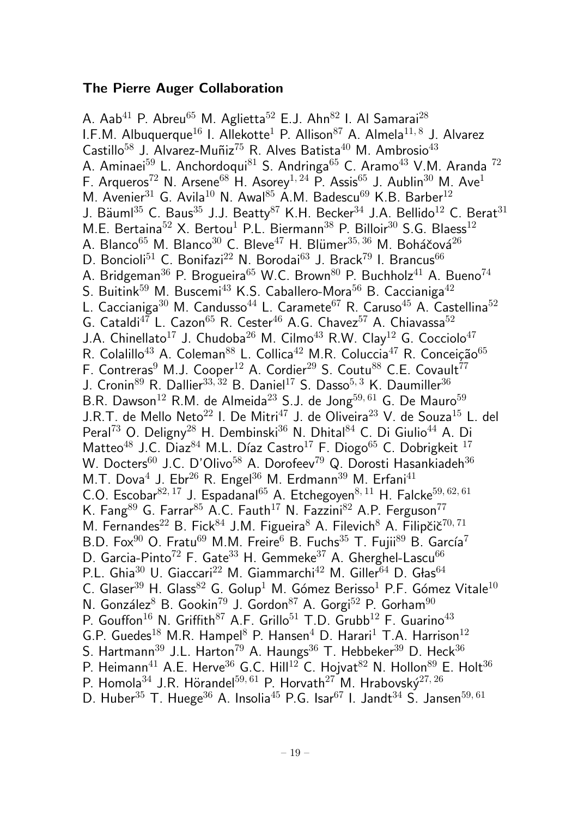## The Pierre Auger Collaboration

A. Aab<sup>41</sup> P. Abreu<sup>65</sup> M. Aglietta<sup>52</sup> E.J. Ahn<sup>82</sup> I. Al Samarai<sup>28</sup> I.F.M. Albuquerque $^{16}$  I. Allekotte $^1$  P. Allison $^{87}$  A. Almela $^{11,\,8}$  J. Alvarez Castillo<sup>58</sup> J. Alvarez-Muñiz<sup>75</sup> R. Alves Batista<sup>40</sup> M. Ambrosio<sup>43</sup> A. Aminaei<sup>59</sup> L. Anchordoqui<sup>81</sup> S. Andringa<sup>65</sup> C. Aramo<sup>43</sup> V.M. Aranda<sup>72</sup> F. Arqueros<sup>72</sup> N. Arsene<sup>68</sup> H. Asorey<sup>1, 24</sup> P. Assis<sup>65</sup> J. Aublin<sup>30</sup> M. Ave<sup>1</sup> M. Avenier<sup>31</sup> G. Avila<sup>10</sup> N. Awal<sup>85</sup> A.M. Badescu<sup>69</sup> K.B. Barber<sup>12</sup> J. Bäuml<sup>35</sup> C. Baus<sup>35</sup> J.J. Beatty<sup>87</sup> K.H. Becker<sup>34</sup> J.A. Bellido<sup>12</sup> C. Berat<sup>31</sup> M.E. Bertaina<sup>52</sup> X. Bertou<sup>1</sup> P.L. Biermann<sup>38</sup> P. Billoir<sup>30</sup> S.G. Blaess<sup>12</sup> A. Blanco<sup>65</sup> M. Blanco<sup>30</sup> C. Bleve<sup>47</sup> H. Blümer<sup>35, 36</sup> M. Boháčová<sup>26</sup> D. Boncioli<sup>51</sup> C. Bonifazi<sup>22</sup> N. Borodai<sup>63</sup> J. Brack<sup>79</sup> I. Brancus<sup>66</sup> A. Bridgeman<sup>36</sup> P. Brogueira<sup>65</sup> W.C. Brown<sup>80</sup> P. Buchholz<sup>41</sup> A. Bueno<sup>74</sup> S. Buitink<sup>59</sup> M. Buscemi<sup>43</sup> K.S. Caballero-Mora<sup>56</sup> B. Caccianiga<sup>42</sup> L. Caccianiga<sup>30</sup> M. Candusso<sup>44</sup> L. Caramete<sup>67</sup> R. Caruso<sup>45</sup> A. Castellina<sup>52</sup> G. Cataldi<sup>47</sup> L. Cazon<sup>65</sup> R. Cester<sup>46</sup> A.G. Chavez<sup>57</sup> A. Chiavassa<sup>52</sup> J.A. Chinellato<sup>17</sup> J. Chudoba<sup>26</sup> M. Cilmo<sup>43</sup> R.W. Clav<sup>12</sup> G. Cocciolo<sup>47</sup> R. Colalillo<sup>43</sup> A. Coleman<sup>88</sup> L. Collica<sup>42</sup> M.R. Coluccia<sup>47</sup> R. Conceição<sup>65</sup> F. Contreras<sup>9</sup> M.J. Cooper<sup>12</sup> A. Cordier<sup>29</sup> S. Coutu<sup>88</sup> C.E. Covault<sup>77</sup> J. Cronin<sup>89</sup> R. Dallier<sup>33, 32</sup> B. Daniel<sup>17</sup> S. Dasso<sup>5, 3</sup> K. Daumiller<sup>36</sup> B.R. Dawson<sup>12</sup> R.M. de Almeida<sup>23</sup> S.J. de Jong<sup>59, 61</sup> G. De Mauro<sup>59</sup> J.R.T. de Mello Neto<sup>22</sup> I. De Mitri<sup>47</sup> J. de Oliveira<sup>23</sup> V. de Souza<sup>15</sup> L. del Peral<sup>73</sup> O. Deligny<sup>28</sup> H. Dembinski<sup>36</sup> N. Dhital<sup>84</sup> C. Di Giulio<sup>44</sup> A. Di Matteo<sup>48</sup> J.C. Diaz<sup>84</sup> M.L. Díaz Castro<sup>17</sup> F. Diogo<sup>65</sup> C. Dobrigkeit <sup>17</sup> W. Docters<sup>60</sup> J.C. D'Olivo<sup>58</sup> A. Dorofeev<sup>79</sup> Q. Dorosti Hasankiadeh<sup>36</sup> M.T. Dova $^4$  J. Ebr $^{26}$  R. Engel $^{36}$  M. Erdmann $^{39}$  M. Erfani $^{41}$ C.O. Escobar $82,17$  J. Espadanal<sup>65</sup> A. Etchegoyen $8,11$  H. Falcke<sup>59, 62, 61</sup> K. Fang<sup>89</sup> G. Farrar<sup>85</sup> A.C. Fauth<sup>17</sup> N. Fazzini<sup>82</sup> A.P. Ferguson<sup>77</sup> M. Fernandes<sup>22</sup> B. Fick<sup>84</sup> J.M. Figueira<sup>8</sup> A. Filevich<sup>8</sup> A. Filipčič<sup>70, 71</sup> B.D. Fox<sup>90</sup> O. Fratu<sup>69</sup> M.M. Freire<sup>6</sup> B. Fuchs<sup>35</sup> T. Fujii<sup>89</sup> B. García<sup>7</sup> D. Garcia-Pinto<sup>72</sup> F. Gate<sup>33</sup> H. Gemmeke<sup>37</sup> A. Gherghel-Lascu<sup>66</sup> P.L. Ghia<sup>30</sup> U. Giaccari<sup>22</sup> M. Giammarchi<sup>42</sup> M. Giller<sup>64</sup> D. Głas<sup>64</sup> C. Glaser<sup>39</sup> H. Glass<sup>82</sup> G. Golup<sup>1</sup> M. Gómez Berisso<sup>1</sup> P.F. Gómez Vitale<sup>10</sup> N. González<sup>8</sup> B. Gookin<sup>79</sup> J. Gordon<sup>87</sup> A. Gorgi<sup>52</sup> P. Gorham<sup>90</sup> P. Gouffon<sup>16</sup> N. Griffith<sup>87</sup> A.F. Grillo<sup>51</sup> T.D. Grubb<sup>12</sup> F. Guarino<sup>43</sup> G.P. Guedes<sup>18</sup> M.R. Hampel<sup>8</sup> P. Hansen<sup>4</sup> D. Harari<sup>1</sup> T.A. Harrison<sup>12</sup> S. Hartmann<sup>39</sup> J.L. Harton<sup>79</sup> A. Haungs<sup>36</sup> T. Hebbeker<sup>39</sup> D. Heck<sup>36</sup> P. Heimann<sup>41</sup> A.E. Herve<sup>36</sup> G.C. Hill<sup>12</sup> C. Hojvat<sup>82</sup> N. Hollon<sup>89</sup> E. Holt<sup>36</sup> P. Homola<sup>34</sup> J.R. Hörandel<sup>59, 61</sup> P. Horvath<sup>27</sup> M. Hrabovský<sup>27, 26</sup> D. Huber<sup>35</sup> T. Huege<sup>36</sup> A. Insolia<sup>45</sup> P.G. Isar<sup>67</sup> I. Jandt<sup>34</sup> S. Jansen<sup>59, 61</sup>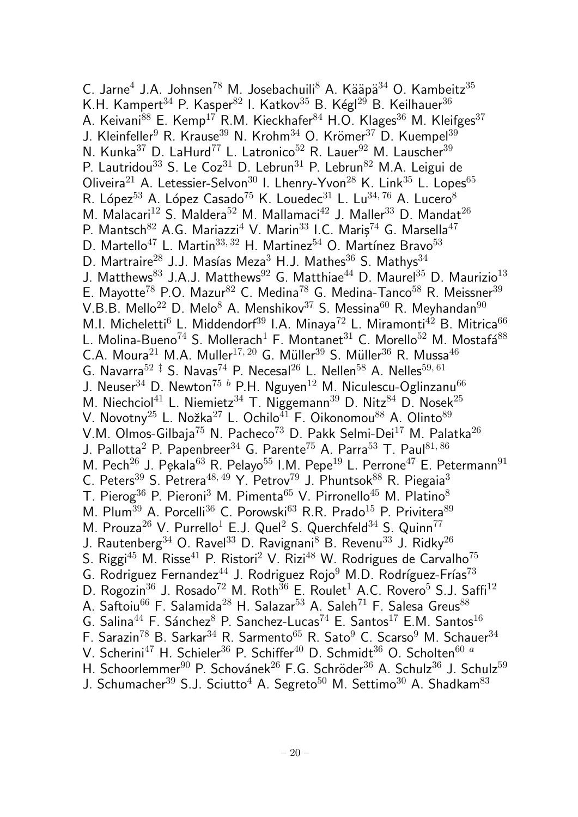$C.$  Jarne $<sup>4</sup>$  J.A. Johnsen<sup>78</sup> M. Josebachuili<sup>8</sup> A. Kääpä $<sup>34</sup>$  O. Kambeitz $<sup>35</sup>$ </sup></sup></sup> K.H. Kampert<sup>34</sup> P. Kasper<sup>82</sup> I. Katkov<sup>35</sup> B. Kégl<sup>29</sup> B. Keilhauer<sup>36</sup> A. Keivani $^{88}$  E. Kemp<sup>17</sup> R.M. Kieckhafer<sup>84</sup> H.O. Klages<sup>36</sup> M. Kleifges<sup>37</sup> J. Kleinfeller<sup>9</sup> R. Krause<sup>39</sup> N. Krohm<sup>34</sup> O. Krömer<sup>37</sup> D. Kuempel<sup>39</sup> N. Kunka<sup>37</sup> D. LaHurd<sup>77</sup> L. Latronico<sup>52</sup> R. Lauer<sup>92</sup> M. Lauscher<sup>39</sup> P. Lautridou<sup>33</sup> S. Le Coz<sup>31</sup> D. Lebrun<sup>31</sup> P. Lebrun<sup>82</sup> M.A. Leigui de Oliveira<sup>21</sup> A. Letessier-Selvon<sup>30</sup> I. Lhenry-Yvon<sup>28</sup> K. Link<sup>35</sup> L. Lopes<sup>65</sup> R. López<sup>53</sup> A. López Casado<sup>75</sup> K. Louedec<sup>31</sup> L. Lu<sup>34, 76</sup> A. Lucero<sup>8</sup> M. Malacari<sup>12</sup> S. Maldera<sup>52</sup> M. Mallamaci<sup>42</sup> J. Maller<sup>33</sup> D. Mandat<sup>26</sup> P. Mantsch<sup>82</sup> A.G. Mariazzi<sup>4</sup> V. Marin<sup>33</sup> I.C. Maris<sup>74</sup> G. Marsella<sup>47</sup> D. Martello<sup>47</sup> L. Martin<sup>33, 32</sup> H. Martinez<sup>54</sup> O. Martínez Bravo<sup>53</sup> D. Martraire<sup>28</sup> J.J. Masías Meza<sup>3</sup> H.J. Mathes<sup>36</sup> S. Mathys<sup>34</sup> J. Matthews<sup>83</sup> J.A.J. Matthews<sup>92</sup> G. Matthiae<sup>44</sup> D. Maurel<sup>35</sup> D. Maurizio<sup>13</sup> E. Mayotte<sup>78</sup> P.O. Mazur<sup>82</sup> C. Medina<sup>78</sup> G. Medina-Tanco<sup>58</sup> R. Meissner<sup>39</sup> V.B.B. Mello<sup>22</sup> D. Melo<sup>8</sup> A. Menshikov<sup>37</sup> S. Messina<sup>60</sup> R. Meyhandan<sup>90</sup> M.I. Micheletti<sup>6</sup> L. Middendorf<sup>39</sup> I.A. Minaya<sup>72</sup> L. Miramonti<sup>42</sup> B. Mitrica<sup>66</sup> L. Molina-Bueno<sup>74</sup> S. Mollerach<sup>1</sup> F. Montanet<sup>31</sup> C. Morello<sup>52</sup> M. Mostafá<sup>88</sup> C.A. Moura<sup>21</sup> M.A. Muller<sup>17, 20</sup> G. Müller<sup>39</sup> S. Müller<sup>36</sup> R. Mussa<sup>46</sup> G. Navarra<sup>52  $\ddagger$ </sup> S. Navas<sup>74</sup> P. Necesal<sup>26</sup> L. Nellen<sup>58</sup> A. Nelles<sup>59, 61</sup> J. Neuser<sup>34</sup> D. Newton<sup>75 b</sup> P.H. Nguyen<sup>12</sup> M. Niculescu-Oglinzanu<sup>66</sup> M. Niechciol<sup>41</sup> L. Niemietz<sup>34</sup> T. Niggemann<sup>39</sup> D. Nitz<sup>84</sup> D. Nosek<sup>25</sup> V. Novotny<sup>25</sup> L. Nožka<sup>27</sup> L. Ochilo<sup> $\overline{41}$ </sup> F. Oikonomou<sup>88</sup> A. Olinto<sup>89</sup> V.M. Olmos-Gilbaja<sup>75</sup> N. Pacheco<sup>73</sup> D. Pakk Selmi-Dei<sup>17</sup> M. Palatka<sup>26</sup> J. Pallotta<sup>2</sup> P. Papenbreer<sup>34</sup> G. Parente<sup>75</sup> A. Parra<sup>53</sup> T. Paul<sup>81, 86</sup> M. Pech<sup>26</sup> J. Pekala<sup>63</sup> R. Pelayo<sup>55</sup> I.M. Pepe<sup>19</sup> L. Perrone<sup>47</sup> E. Petermann<sup>91</sup> C. Peters<sup>39</sup> S. Petrera<sup>48, 49</sup> Y. Petrov<sup>79</sup> J. Phuntsok<sup>88</sup> R. Piegaia<sup>3</sup> T. Pierog<sup>36</sup> P. Pieroni<sup>3</sup> M. Pimenta<sup>65</sup> V. Pirronello<sup>45</sup> M. Platino<sup>8</sup> M. Plum<sup>39</sup> A. Porcelli<sup>36</sup> C. Porowski<sup>63</sup> R.R. Prado<sup>15</sup> P. Privitera<sup>89</sup> M. Prouza<sup>26</sup> V. Purrello<sup>1</sup> E.J. Quel<sup>2</sup> S. Querchfeld<sup>34</sup> S. Quinn<sup>77</sup> J. Rautenberg<sup>34</sup> O. Ravel<sup>33</sup> D. Ravignani<sup>8</sup> B. Revenu<sup>33</sup> J. Ridky<sup>26</sup> S. Riggi<sup>45</sup> M. Risse<sup>41</sup> P. Ristori<sup>2</sup> V. Rizi<sup>48</sup> W. Rodrigues de Carvalho<sup>75</sup> G. Rodriguez Fernandez<sup>44</sup> J. Rodriguez Rojo<sup>9</sup> M.D. Rodríguez-Frías<sup>73</sup> D. Rogozin<sup>36</sup> J. Rosado<sup>72</sup> M. Roth<sup>36</sup> E. Roulet<sup>1</sup> A.C. Rovero<sup>5</sup> S.J. Saffi<sup>12</sup> A. Saftoiu<sup>66</sup> F. Salamida<sup>28</sup> H. Salazar<sup>53</sup> A. Saleh<sup>71</sup> F. Salesa Greus<sup>88</sup> G. Salina<sup>44</sup> F. Sánchez<sup>8</sup> P. Sanchez-Lucas<sup>74</sup> E. Santos<sup>17</sup> E.M. Santos<sup>16</sup> F. Sarazin<sup>78</sup> B. Sarkar<sup>34</sup> R. Sarmento<sup>65</sup> R. Sato<sup>9</sup> C. Scarso<sup>9</sup> M. Schauer<sup>34</sup> V. Scherini<sup>47</sup> H. Schieler<sup>36</sup> P. Schiffer<sup>40</sup> D. Schmidt<sup>36</sup> O. Scholten<sup>60 a</sup> H. Schoorlemmer<sup>90</sup> P. Schovánek<sup>26</sup> F.G. Schröder<sup>36</sup> A. Schulz<sup>36</sup> J. Schulz<sup>59</sup> J. Schumacher<sup>39</sup> S.J. Sciutto<sup>4</sup> A. Segreto<sup>50</sup> M. Settimo<sup>30</sup> A. Shadkam<sup>83</sup>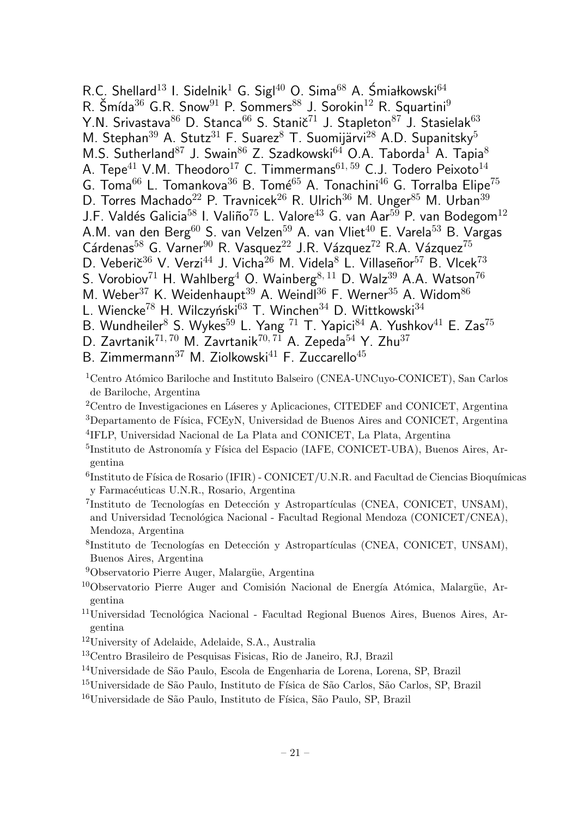R.C. Shellard<sup>13</sup> I. Sidelnik<sup>1</sup> G. Sigl<sup>40</sup> O. Sima<sup>68</sup> A. Śmiałkowski<sup>64</sup> R. Šmída $36$  G.R. Snow $91$  P. Sommers $88$  J. Sorokin $12$  R. Squartini $9$ Y.N. Srivastava<sup>86</sup> D. Stanca<sup>66</sup> S. Stanič<sup>71</sup> J. Stapleton<sup>87</sup> J. Stasielak<sup>63</sup> M. Stephan<sup>39</sup> A. Stutz<sup>31</sup> F. Suarez<sup>8</sup> T. Suomijärvi<sup>28</sup> A.D. Supanitsky<sup>5</sup> M.S. Sutherland<sup>87</sup> J. Swain<sup>86</sup> Z. Szadkowski<sup>64</sup> O.A. Taborda<sup>1</sup> A. Tapia<sup>8</sup> A. Tepe<sup>41</sup> V.M. Theodoro<sup>17</sup> C. Timmermans<sup>61, 59</sup> C.J. Todero Peixoto<sup>14</sup> G. Toma<sup>66</sup> L. Tomankova<sup>36</sup> B. Tomé<sup>65</sup> A. Tonachini<sup>46</sup> G. Torralba Elipe<sup>75</sup> D. Torres Machado<sup>22</sup> P. Travnicek<sup>26</sup> R. Ulrich<sup>36</sup> M. Unger<sup>85</sup> M. Urban<sup>39</sup> J.F. Valdés Galicia<sup>58</sup> I. Valiño<sup>75</sup> L. Valore<sup>43</sup> G. van Aar<sup>59</sup> P. van Bodegom<sup>12</sup> A.M. van den Berg<sup>60</sup> S. van Velzen<sup>59</sup> A. van Vliet<sup>40</sup> E. Varela<sup>53</sup> B. Vargas Cárdenas<sup>58</sup> G. Varner<sup>90</sup> R. Vasquez<sup>22</sup> J.R. Vázquez<sup>72</sup> R.A. Vázquez<sup>75</sup> D. Veberič<sup>36</sup> V. Verzi<sup>44</sup> J. Vicha<sup>26</sup> M. Videla<sup>8</sup> L. Villaseñor<sup>57</sup> B. Vlcek<sup>73</sup> S. Vorobiov<sup>71</sup> H. Wahlberg<sup>4</sup> O. Wainberg<sup>8, 11</sup> D. Walz<sup>39</sup> A.A. Watson<sup>76</sup> M. Weber<sup>37</sup> K. Weidenhaupt<sup>39</sup> A. Weindl<sup>36</sup> F. Werner<sup>35</sup> A. Widom<sup>86</sup> L. Wiencke<sup>78</sup> H. Wilczyński<sup>63</sup> T. Winchen<sup>34</sup> D. Wittkowski<sup>34</sup> B. Wundheiler $^8$  S. Wykes $^{59}$  L. Yang  $^{71}$  T. Yapici $^{84}$  A. Yushkov $^{41}$  E. Zas $^{75}$ D. Zavrtanik $^{71,70}$  M. Zavrtanik $^{70,71}$  A. Zepeda $^{54}$  Y. Zhu $^{37}$ 

B. Zimmermann<sup>37</sup> M. Ziolkowski<sup>41</sup> F. Zuccarello<sup>45</sup>

<sup>1</sup>Centro Atómico Bariloche and Instituto Balseiro (CNEA-UNCuyo-CONICET), San Carlos de Bariloche, Argentina

<sup>2</sup>Centro de Investigaciones en Láseres y Aplicaciones, CITEDEF and CONICET, Argentina

<sup>3</sup>Departamento de Física, FCEyN, Universidad de Buenos Aires and CONICET, Argentina <sup>4</sup>IFLP, Universidad Nacional de La Plata and CONICET, La Plata, Argentina

<sup>5</sup>Instituto de Astronomía y Física del Espacio (IAFE, CONICET-UBA), Buenos Aires, Argentina

 ${}^{6}$ Instituto de Física de Rosario (IFIR) - CONICET/U.N.R. and Facultad de Ciencias Bioquímicas y Farmacéuticas U.N.R., Rosario, Argentina

<sup>7</sup>Instituto de Tecnologías en Detección y Astropartículas (CNEA, CONICET, UNSAM), and Universidad Tecnológica Nacional - Facultad Regional Mendoza (CONICET/CNEA), Mendoza, Argentina

<sup>8</sup>Instituto de Tecnologías en Detección y Astropartículas (CNEA, CONICET, UNSAM), Buenos Aires, Argentina

 $9$ Observatorio Pierre Auger, Malargüe, Argentina

 $10$ Observatorio Pierre Auger and Comisión Nacional de Energía Atómica, Malargüe, Argentina

 $11$ Universidad Tecnológica Nacional - Facultad Regional Buenos Aires, Buenos Aires, Argentina

<sup>12</sup>University of Adelaide, Adelaide, S.A., Australia

<sup>13</sup>Centro Brasileiro de Pesquisas Fisicas, Rio de Janeiro, RJ, Brazil

<sup>14</sup>Universidade de São Paulo, Escola de Engenharia de Lorena, Lorena, SP, Brazil

<sup>15</sup>Universidade de São Paulo, Instituto de Física de São Carlos, São Carlos, SP, Brazil

<sup>16</sup>Universidade de São Paulo, Instituto de Física, São Paulo, SP, Brazil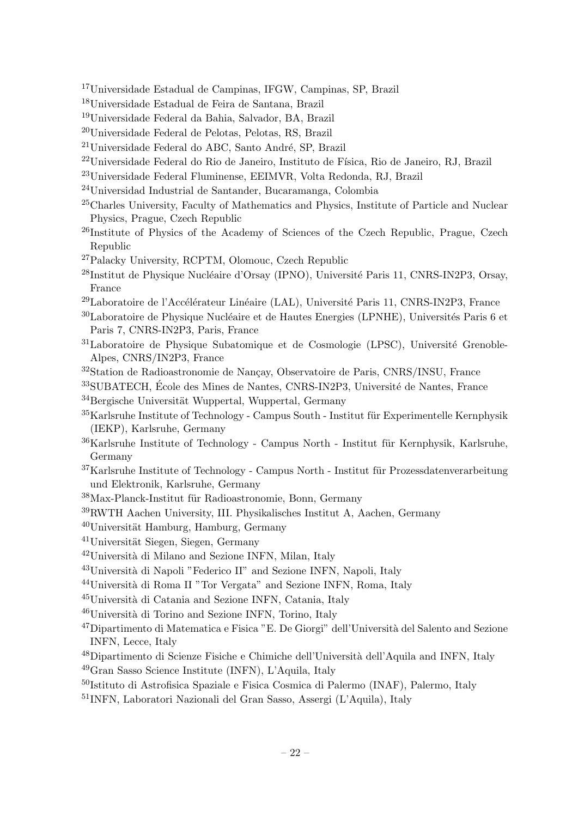- <sup>17</sup>Universidade Estadual de Campinas, IFGW, Campinas, SP, Brazil
- <sup>18</sup>Universidade Estadual de Feira de Santana, Brazil
- <sup>19</sup>Universidade Federal da Bahia, Salvador, BA, Brazil
- <sup>20</sup>Universidade Federal de Pelotas, Pelotas, RS, Brazil
- $21$ Universidade Federal do ABC, Santo André, SP, Brazil
- $^{22}$ Universidade Federal do Rio de Janeiro, Instituto de Física, Rio de Janeiro, RJ, Brazil
- <sup>23</sup>Universidade Federal Fluminense, EEIMVR, Volta Redonda, RJ, Brazil
- <sup>24</sup>Universidad Industrial de Santander, Bucaramanga, Colombia
- <sup>25</sup>Charles University, Faculty of Mathematics and Physics, Institute of Particle and Nuclear Physics, Prague, Czech Republic
- <sup>26</sup>Institute of Physics of the Academy of Sciences of the Czech Republic, Prague, Czech Republic
- <sup>27</sup>Palacky University, RCPTM, Olomouc, Czech Republic
- $^{28}$ Institut de Physique Nucléaire d'Orsay (IPNO), Université Paris 11, CNRS-IN2P3, Orsay, France
- $^{29}$ Laboratoire de l'Accélérateur Linéaire (LAL), Université Paris 11, CNRS-IN2P3, France
- $30$ Laboratoire de Physique Nucléaire et de Hautes Energies (LPNHE), Universités Paris 6 et Paris 7, CNRS-IN2P3, Paris, France
- <sup>31</sup>Laboratoire de Physique Subatomique et de Cosmologie (LPSC), Université Grenoble-Alpes, CNRS/IN2P3, France
- <sup>32</sup>Station de Radioastronomie de Nançay, Observatoire de Paris, CNRS/INSU, France
- $33$ SUBATECH, École des Mines de Nantes, CNRS-IN2P3, Université de Nantes, France  $34$ Bergische Universität Wuppertal, Wuppertal, Germany
- $35$ Karlsruhe Institute of Technology Campus South Institut für Experimentelle Kernphysik (IEKP), Karlsruhe, Germany
- $36$ Karlsruhe Institute of Technology Campus North Institut für Kernphysik, Karlsruhe, Germany
- $37$ Karlsruhe Institute of Technology Campus North Institut für Prozessdatenverarbeitung und Elektronik, Karlsruhe, Germany
- $38$ Max-Planck-Institut für Radioastronomie, Bonn, Germany
- <sup>39</sup>RWTH Aachen University, III. Physikalisches Institut A, Aachen, Germany
- $40$ Universität Hamburg, Hamburg, Germany
- $41$ Universität Siegen, Siegen, Germany
- $42$ Università di Milano and Sezione INFN, Milan, Italy
- <sup>43</sup>Università di Napoli "Federico II" and Sezione INFN, Napoli, Italy
- <sup>44</sup>Università di Roma II "Tor Vergata" and Sezione INFN, Roma, Italy
- <sup>45</sup>Università di Catania and Sezione INFN, Catania, Italy
- $46$ Università di Torino and Sezione INFN, Torino, Italy
- $^{47}$ Dipartimento di Matematica e Fisica "E. De Giorgi" dell'Università del Salento and Sezione INFN, Lecce, Italy
- $^{48}$ Dipartimento di Scienze Fisiche e Chimiche dell'Università dell'Aquila and INFN, Italy
- <sup>49</sup>Gran Sasso Science Institute (INFN), L'Aquila, Italy
- <sup>50</sup>Istituto di Astrofisica Spaziale e Fisica Cosmica di Palermo (INAF), Palermo, Italy
- <sup>51</sup>INFN, Laboratori Nazionali del Gran Sasso, Assergi (L'Aquila), Italy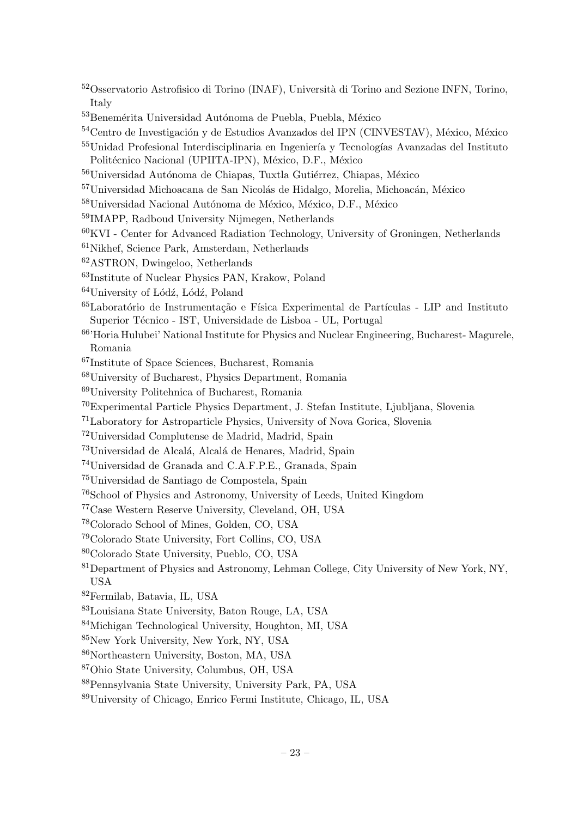- <sup>52</sup>Osservatorio Astrofisico di Torino (INAF), Università di Torino and Sezione INFN, Torino, Italy
- ${}^{53}\mathrm{Benem\'erita}$ Universidad Autónoma de Puebla, Puebla, México

- Unidad Profesional Interdisciplinaria en Ingeniería y Tecnologías Avanzadas del Instituto Politécnico Nacional (UPIITA-IPN), México, D.F., México
- <sup>56</sup>Universidad Autónoma de Chiapas, Tuxtla Gutiérrez, Chiapas, México
- Universidad Michoacana de San Nicolás de Hidalgo, Morelia, Michoacán, México
- Universidad Nacional Autónoma de México, México, D.F., México
- IMAPP, Radboud University Nijmegen, Netherlands
- KVI Center for Advanced Radiation Technology, University of Groningen, Netherlands
- Nikhef, Science Park, Amsterdam, Netherlands
- ASTRON, Dwingeloo, Netherlands
- Institute of Nuclear Physics PAN, Krakow, Poland
- University of Lódź, Lódź, Poland
- ${}^{65}$ Laboratório de Instrumentação e Física Experimental de Partículas LIP and Instituto Superior Técnico - IST, Universidade de Lisboa - UL, Portugal
- 'Horia Hulubei' National Institute for Physics and Nuclear Engineering, Bucharest- Magurele, Romania
- Institute of Space Sciences, Bucharest, Romania
- University of Bucharest, Physics Department, Romania
- University Politehnica of Bucharest, Romania
- Experimental Particle Physics Department, J. Stefan Institute, Ljubljana, Slovenia
- Laboratory for Astroparticle Physics, University of Nova Gorica, Slovenia
- Universidad Complutense de Madrid, Madrid, Spain
- <sup>73</sup>Universidad de Alcalá, Alcalá de Henares, Madrid, Spain
- Universidad de Granada and C.A.F.P.E., Granada, Spain
- Universidad de Santiago de Compostela, Spain
- School of Physics and Astronomy, University of Leeds, United Kingdom
- Case Western Reserve University, Cleveland, OH, USA
- Colorado School of Mines, Golden, CO, USA
- Colorado State University, Fort Collins, CO, USA
- Colorado State University, Pueblo, CO, USA
- Department of Physics and Astronomy, Lehman College, City University of New York, NY, USA
- Fermilab, Batavia, IL, USA
- Louisiana State University, Baton Rouge, LA, USA
- Michigan Technological University, Houghton, MI, USA
- New York University, New York, NY, USA
- Northeastern University, Boston, MA, USA
- Ohio State University, Columbus, OH, USA
- Pennsylvania State University, University Park, PA, USA
- University of Chicago, Enrico Fermi Institute, Chicago, IL, USA

Centro de Investigación y de Estudios Avanzados del IPN (CINVESTAV), México, México